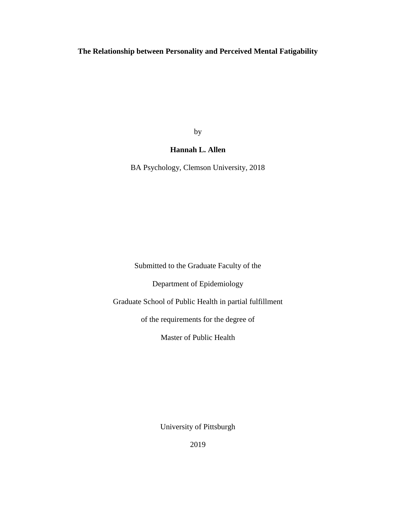# **The Relationship between Personality and Perceived Mental Fatigability**

by

## **Hannah L. Allen**

BA Psychology, Clemson University, 2018

Submitted to the Graduate Faculty of the

Department of Epidemiology

Graduate School of Public Health in partial fulfillment

of the requirements for the degree of

Master of Public Health

University of Pittsburgh

2019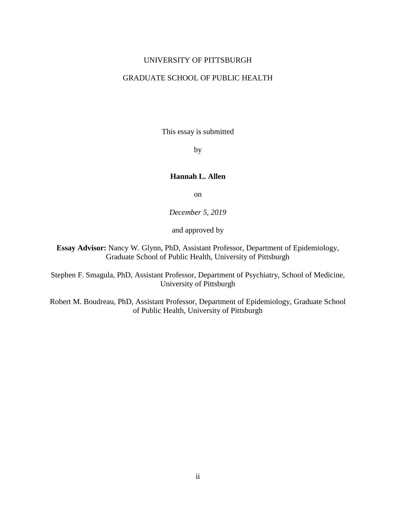### UNIVERSITY OF PITTSBURGH

## GRADUATE SCHOOL OF PUBLIC HEALTH

This essay is submitted

by

### **Hannah L. Allen**

on

*December 5, 2019*

and approved by

**Essay Advisor:** Nancy W. Glynn, PhD, Assistant Professor, Department of Epidemiology, Graduate School of Public Health, University of Pittsburgh

Stephen F. Smagula, PhD, Assistant Professor, Department of Psychiatry, School of Medicine, University of Pittsburgh

Robert M. Boudreau, PhD, Assistant Professor, Department of Epidemiology, Graduate School of Public Health, University of Pittsburgh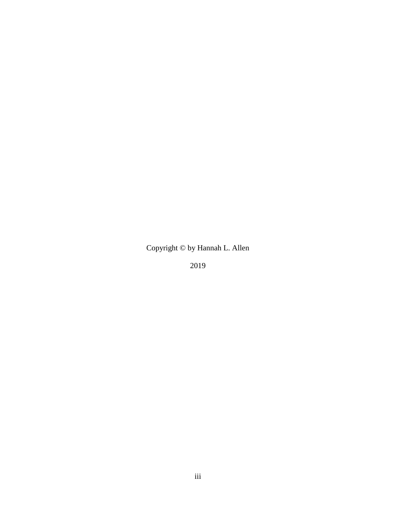Copyright © by Hannah L. Allen

2019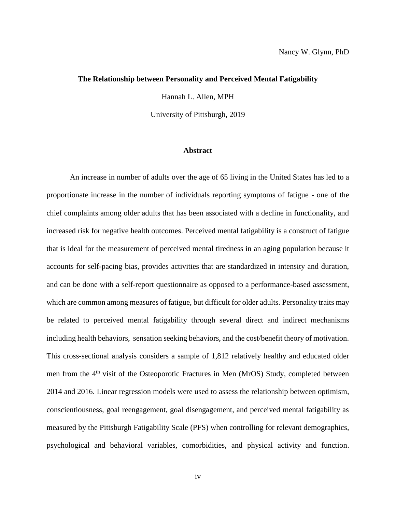#### **The Relationship between Personality and Perceived Mental Fatigability**

Hannah L. Allen, MPH

University of Pittsburgh, 2019

### **Abstract**

An increase in number of adults over the age of 65 living in the United States has led to a proportionate increase in the number of individuals reporting symptoms of fatigue - one of the chief complaints among older adults that has been associated with a decline in functionality, and increased risk for negative health outcomes. Perceived mental fatigability is a construct of fatigue that is ideal for the measurement of perceived mental tiredness in an aging population because it accounts for self-pacing bias, provides activities that are standardized in intensity and duration, and can be done with a self-report questionnaire as opposed to a performance-based assessment, which are common among measures of fatigue, but difficult for older adults. Personality traits may be related to perceived mental fatigability through several direct and indirect mechanisms including health behaviors, sensation seeking behaviors, and the cost/benefit theory of motivation. This cross-sectional analysis considers a sample of 1,812 relatively healthy and educated older men from the 4<sup>th</sup> visit of the Osteoporotic Fractures in Men (MrOS) Study, completed between 2014 and 2016. Linear regression models were used to assess the relationship between optimism, conscientiousness, goal reengagement, goal disengagement, and perceived mental fatigability as measured by the Pittsburgh Fatigability Scale (PFS) when controlling for relevant demographics, psychological and behavioral variables, comorbidities, and physical activity and function.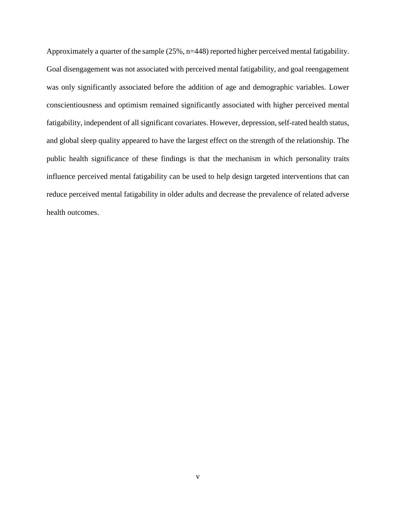Approximately a quarter of the sample (25%, n=448) reported higher perceived mental fatigability. Goal disengagement was not associated with perceived mental fatigability, and goal reengagement was only significantly associated before the addition of age and demographic variables. Lower conscientiousness and optimism remained significantly associated with higher perceived mental fatigability, independent of all significant covariates. However, depression, self-rated health status, and global sleep quality appeared to have the largest effect on the strength of the relationship. The public health significance of these findings is that the mechanism in which personality traits influence perceived mental fatigability can be used to help design targeted interventions that can reduce perceived mental fatigability in older adults and decrease the prevalence of related adverse health outcomes.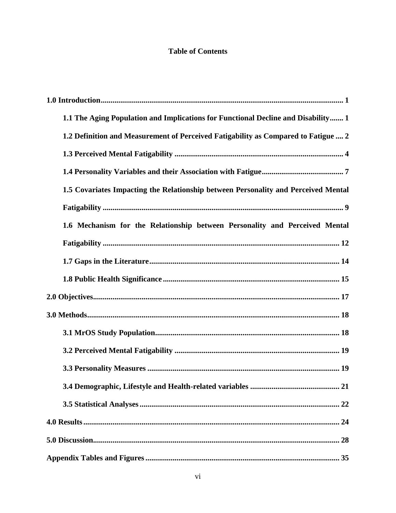# **Table of Contents**

| 1.1 The Aging Population and Implications for Functional Decline and Disability 1  |
|------------------------------------------------------------------------------------|
| 1.2 Definition and Measurement of Perceived Fatigability as Compared to Fatigue  2 |
|                                                                                    |
|                                                                                    |
| 1.5 Covariates Impacting the Relationship between Personality and Perceived Mental |
|                                                                                    |
| 1.6 Mechanism for the Relationship between Personality and Perceived Mental        |
|                                                                                    |
|                                                                                    |
|                                                                                    |
|                                                                                    |
|                                                                                    |
|                                                                                    |
|                                                                                    |
|                                                                                    |
|                                                                                    |
|                                                                                    |
|                                                                                    |
|                                                                                    |
|                                                                                    |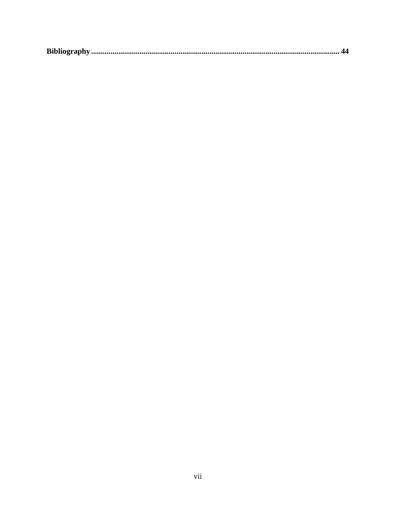|--|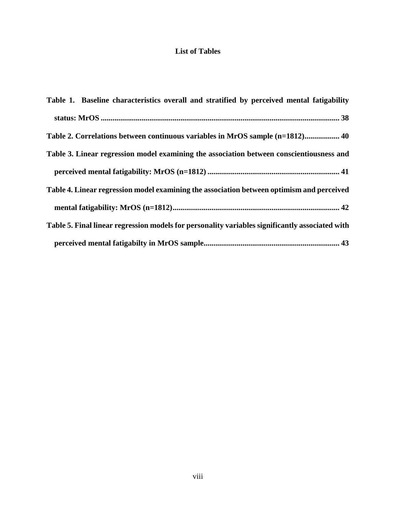# **List of Tables**

| Table 1. Baseline characteristics overall and stratified by perceived mental fatigability       |
|-------------------------------------------------------------------------------------------------|
|                                                                                                 |
| Table 2. Correlations between continuous variables in MrOS sample (n=1812) 40                   |
| Table 3. Linear regression model examining the association between conscientiousness and        |
|                                                                                                 |
| Table 4. Linear regression model examining the association between optimism and perceived       |
|                                                                                                 |
| Table 5. Final linear regression models for personality variables significantly associated with |
|                                                                                                 |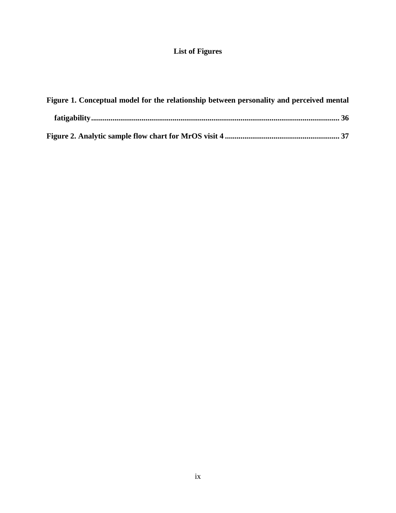# **List of Figures**

| Figure 1. Conceptual model for the relationship between personality and perceived mental |
|------------------------------------------------------------------------------------------|
|                                                                                          |
|                                                                                          |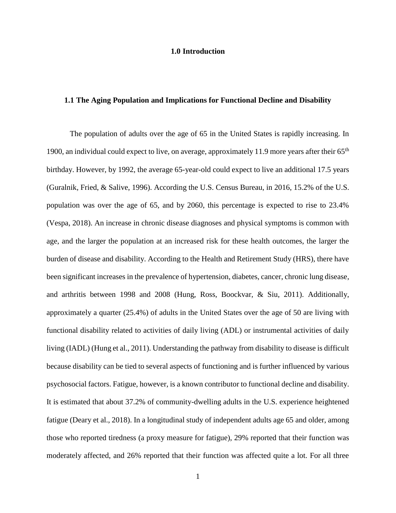### **1.0 Introduction**

### <span id="page-9-1"></span><span id="page-9-0"></span>**1.1 The Aging Population and Implications for Functional Decline and Disability**

The population of adults over the age of 65 in the United States is rapidly increasing. In 1900, an individual could expect to live, on average, approximately 11.9 more years after their  $65<sup>th</sup>$ birthday. However, by 1992, the average 65-year-old could expect to live an additional 17.5 years [\(Guralnik, Fried, & Salive, 1996\)](#page-53-0). According the U.S. Census Bureau, in 2016, 15.2% of the U.S. population was over the age of 65, and by 2060, this percentage is expected to rise to 23.4% [\(Vespa, 2018\)](#page-55-0). An increase in chronic disease diagnoses and physical symptoms is common with age, and the larger the population at an increased risk for these health outcomes, the larger the burden of disease and disability. According to the Health and Retirement Study (HRS), there have been significant increases in the prevalence of hypertension, diabetes, cancer, chronic lung disease, and arthritis between 1998 and 2008 [\(Hung, Ross, Boockvar, & Siu, 2011\)](#page-53-1). Additionally, approximately a quarter (25.4%) of adults in the United States over the age of 50 are living with functional disability related to activities of daily living (ADL) or instrumental activities of daily living (IADL) [\(Hung et al., 2011\)](#page-53-1). Understanding the pathway from disability to disease is difficult because disability can be tied to several aspects of functioning and is further influenced by various psychosocial factors. Fatigue, however, is a known contributor to functional decline and disability. It is estimated that about 37.2% of community-dwelling adults in the U.S. experience heightened fatigue [\(Deary et al., 2018\)](#page-53-2). In a longitudinal study of independent adults age 65 and older, among those who reported tiredness (a proxy measure for fatigue), 29% reported that their function was moderately affected, and 26% reported that their function was affected quite a lot. For all three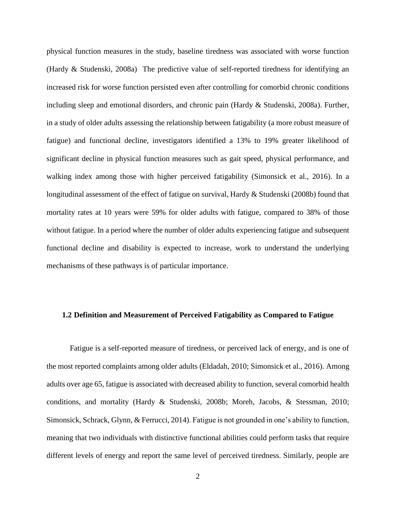physical function measures in the study, baseline tiredness was associated with worse function [\(Hardy & Studenski, 2008a\)](#page-53-3) The predictive value of self-reported tiredness for identifying an increased risk for worse function persisted even after controlling for comorbid chronic conditions including sleep and emotional disorders, and chronic pain [\(Hardy & Studenski, 2008a\)](#page-53-3). Further, in a study of older adults assessing the relationship between fatigability (a more robust measure of fatigue) and functional decline, investigators identified a 13% to 19% greater likelihood of significant decline in physical function measures such as gait speed, physical performance, and walking index among those with higher perceived fatigability [\(Simonsick et al., 2016\)](#page-55-1). In a longitudinal assessment of the effect of fatigue on survival, Hardy & Studenski [\(2008b\)](#page-53-4) found that mortality rates at 10 years were 59% for older adults with fatigue, compared to 38% of those without fatigue. In a period where the number of older adults experiencing fatigue and subsequent functional decline and disability is expected to increase, work to understand the underlying mechanisms of these pathways is of particular importance.

### <span id="page-10-0"></span>**1.2 Definition and Measurement of Perceived Fatigability as Compared to Fatigue**

Fatigue is a self-reported measure of tiredness, or perceived lack of energy, and is one of the most reported complaints among older adults [\(Eldadah, 2010;](#page-53-5) [Simonsick et al., 2016\)](#page-55-1). Among adults over age 65, fatigue is associated with decreased ability to function, several comorbid health conditions, and mortality [\(Hardy & Studenski, 2008b;](#page-53-4) [Moreh, Jacobs, & Stessman, 2010;](#page-54-0) [Simonsick, Schrack, Glynn, & Ferrucci, 2014\)](#page-55-2). Fatigue is not grounded in one's ability to function, meaning that two individuals with distinctive functional abilities could perform tasks that require different levels of energy and report the same level of perceived tiredness. Similarly, people are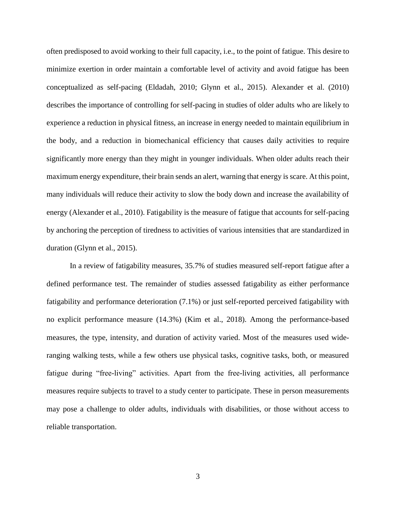often predisposed to avoid working to their full capacity, i.e., to the point of fatigue. This desire to minimize exertion in order maintain a comfortable level of activity and avoid fatigue has been conceptualized as self-pacing [\(Eldadah, 2010;](#page-53-5) [Glynn et al., 2015\)](#page-53-6). [Alexander et al. \(2010\)](#page-52-1) describes the importance of controlling for self-pacing in studies of older adults who are likely to experience a reduction in physical fitness, an increase in energy needed to maintain equilibrium in the body, and a reduction in biomechanical efficiency that causes daily activities to require significantly more energy than they might in younger individuals. When older adults reach their maximum energy expenditure, their brain sends an alert, warning that energy is scare. At this point, many individuals will reduce their activity to slow the body down and increase the availability of energy [\(Alexander et al., 2010\)](#page-52-1). Fatigability is the measure of fatigue that accounts for self-pacing by anchoring the perception of tiredness to activities of various intensities that are standardized in duration [\(Glynn et al., 2015\)](#page-53-6).

In a review of fatigability measures, 35.7% of studies measured self-report fatigue after a defined performance test. The remainder of studies assessed fatigability as either performance fatigability and performance deterioration (7.1%) or just self-reported perceived fatigability with no explicit performance measure (14.3%) [\(Kim et al., 2018\)](#page-54-1). Among the performance-based measures, the type, intensity, and duration of activity varied. Most of the measures used wideranging walking tests, while a few others use physical tasks, cognitive tasks, both, or measured fatigue during "free-living" activities. Apart from the free-living activities, all performance measures require subjects to travel to a study center to participate. These in person measurements may pose a challenge to older adults, individuals with disabilities, or those without access to reliable transportation.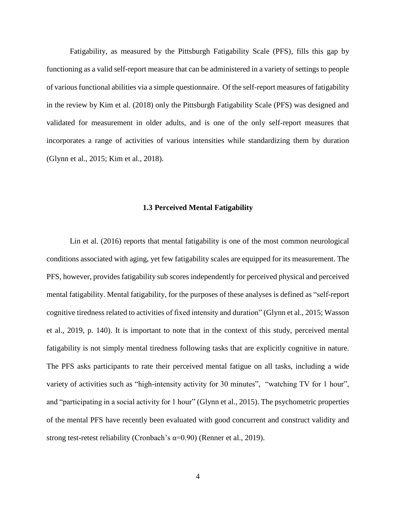Fatigability, as measured by the Pittsburgh Fatigability Scale (PFS), fills this gap by functioning as a valid self-report measure that can be administered in a variety of settings to people of various functional abilities via a simple questionnaire. Of the self-report measures of fatigability in the review by [Kim et al. \(2018\)](#page-54-1) only the Pittsburgh Fatigability Scale (PFS) was designed and validated for measurement in older adults, and is one of the only self-report measures that incorporates a range of activities of various intensities while standardizing them by duration [\(Glynn et al., 2015;](#page-53-6) [Kim et al., 2018\)](#page-54-1).

### **1.3 Perceived Mental Fatigability**

<span id="page-12-0"></span>[Lin et al. \(2016\)](#page-54-2) reports that mental fatigability is one of the most common neurological conditions associated with aging, yet few fatigability scales are equipped for its measurement. The PFS, however, provides fatigability sub scores independently for perceived physical and perceived mental fatigability. Mental fatigability, for the purposes of these analyses is defined as "self-report cognitive tiredness related to activities of fixed intensity and duration" [\(Glynn et al., 2015;](#page-53-6) [Wasson](#page-55-3)  [et al., 2019, p. 140\)](#page-55-3). It is important to note that in the context of this study, perceived mental fatigability is not simply mental tiredness following tasks that are explicitly cognitive in nature. The PFS asks participants to rate their perceived mental fatigue on all tasks, including a wide variety of activities such as "high-intensity activity for 30 minutes", "watching TV for 1 hour", and "participating in a social activity for 1 hour" [\(Glynn et al., 2015\)](#page-53-6). The psychometric properties of the mental PFS have recently been evaluated with good concurrent and construct validity and strong test-retest reliability (Cronbach's  $\alpha$ =0.90) [\(Renner et al., 2019\)](#page-54-3).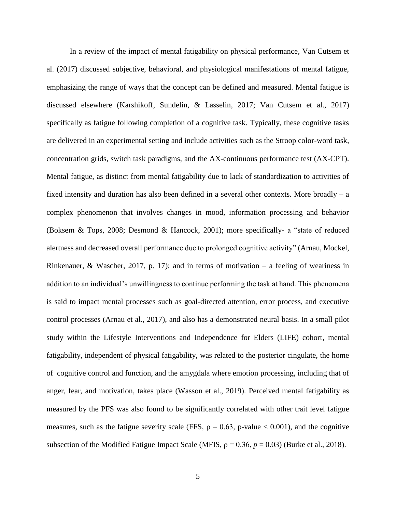In a review of the impact of mental fatigability on physical performance, [Van Cutsem et](#page-55-4)  al. (2017) discussed subjective, behavioral, and physiological manifestations of mental fatigue, emphasizing the range of ways that the concept can be defined and measured. Mental fatigue is discussed elsewhere [\(Karshikoff, Sundelin, & Lasselin, 2017;](#page-54-4) [Van Cutsem et al., 2017\)](#page-55-4) specifically as fatigue following completion of a cognitive task. Typically, these cognitive tasks are delivered in an experimental setting and include activities such as the Stroop color-word task, concentration grids, switch task paradigms, and the AX-continuous performance test (AX-CPT). Mental fatigue, as distinct from mental fatigability due to lack of standardization to activities of fixed intensity and duration has also been defined in a several other contexts. More broadly – a complex phenomenon that involves changes in mood, information processing and behavior [\(Boksem & Tops, 2008;](#page-52-2) [Desmond & Hancock, 2001\)](#page-53-7); more specifically- a "state of reduced alertness and decreased overall performance due to prolonged cognitive activity" [\(Arnau, Mockel,](#page-52-3)  [Rinkenauer, & Wascher, 2017, p. 17\)](#page-52-3); and in terms of motivation – a feeling of weariness in addition to an individual's unwillingness to continue performing the task at hand. This phenomena is said to impact mental processes such as goal-directed attention, error process, and executive control processes [\(Arnau et al., 2017\)](#page-52-3), and also has a demonstrated neural basis. In a small pilot study within the Lifestyle Interventions and Independence for Elders (LIFE) cohort, mental fatigability, independent of physical fatigability, was related to the posterior cingulate, the home of cognitive control and function, and the amygdala where emotion processing, including that of anger, fear, and motivation, takes place [\(Wasson et al., 2019\)](#page-55-3). Perceived mental fatigability as measured by the PFS was also found to be significantly correlated with other trait level fatigue measures, such as the fatigue severity scale (FFS,  $\rho = 0.63$ , p-value < 0.001), and the cognitive subsection of the Modified Fatigue Impact Scale (MFIS,  $\rho = 0.36$ ,  $p = 0.03$ ) [\(Burke et al., 2018\)](#page-52-4).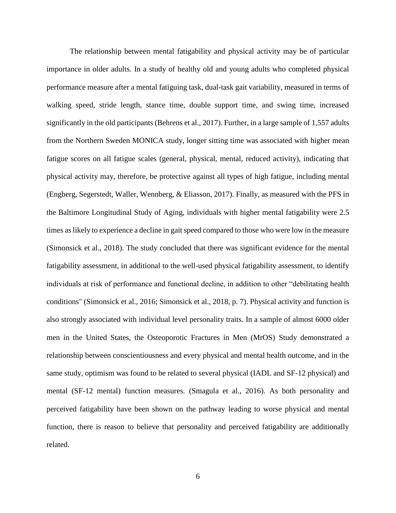The relationship between mental fatigability and physical activity may be of particular importance in older adults. In a study of healthy old and young adults who completed physical performance measure after a mental fatiguing task, dual-task gait variability, measured in terms of walking speed, stride length, stance time, double support time, and swing time, increased significantly in the old participants [\(Behrens et al., 2017\)](#page-52-5). Further, in a large sample of 1,557 adults from the Northern Sweden MONICA study, longer sitting time was associated with higher mean fatigue scores on all fatigue scales (general, physical, mental, reduced activity), indicating that physical activity may, therefore, be protective against all types of high fatigue, including mental [\(Engberg, Segerstedt, Waller, Wennberg, & Eliasson, 2017\)](#page-53-8). Finally, as measured with the PFS in the Baltimore Longitudinal Study of Aging, individuals with higher mental fatigability were 2.5 times as likely to experience a decline in gait speed compared to those who were low in the measure [\(Simonsick et al., 2018\)](#page-55-5). The study concluded that there was significant evidence for the mental fatigability assessment, in additional to the well-used physical fatigability assessment, to identify individuals at risk of performance and functional decline, in addition to other "debilitating health conditions" [\(Simonsick et al., 2016;](#page-55-1) [Simonsick et al., 2018, p. 7\)](#page-55-5). Physical activity and function is also strongly associated with individual level personality traits. In a sample of almost 6000 older men in the United States, the Osteoporotic Fractures in Men (MrOS) Study demonstrated a relationship between conscientiousness and every physical and mental health outcome, and in the same study, optimism was found to be related to several physical (IADL and SF-12 physical) and mental (SF-12 mental) function measures. [\(Smagula et al., 2016\)](#page-55-6). As both personality and perceived fatigability have been shown on the pathway leading to worse physical and mental function, there is reason to believe that personality and perceived fatigability are additionally related.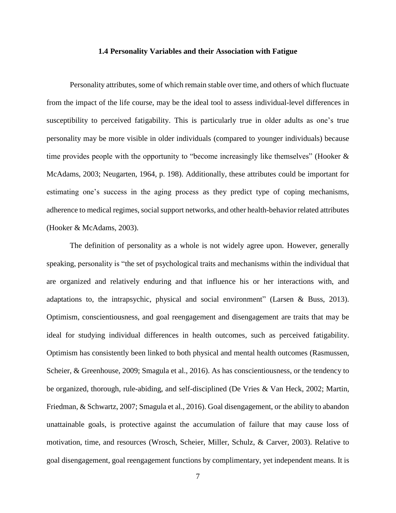### **1.4 Personality Variables and their Association with Fatigue**

<span id="page-15-0"></span>Personality attributes, some of which remain stable over time, and others of which fluctuate from the impact of the life course, may be the ideal tool to assess individual-level differences in susceptibility to perceived fatigability. This is particularly true in older adults as one's true personality may be more visible in older individuals (compared to younger individuals) because time provides people with the opportunity to "become increasingly like themselves" [\(Hooker &](#page-53-9)  [McAdams, 2003;](#page-53-9) [Neugarten, 1964, p. 198\)](#page-54-5). Additionally, these attributes could be important for estimating one's success in the aging process as they predict type of coping mechanisms, adherence to medical regimes, social support networks, and other health-behavior related attributes [\(Hooker & McAdams, 2003\)](#page-53-9).

The definition of personality as a whole is not widely agree upon. However, generally speaking, personality is "the set of psychological traits and mechanisms within the individual that are organized and relatively enduring and that influence his or her interactions with, and adaptations to, the intrapsychic, physical and social environment" [\(Larsen & Buss, 2013\)](#page-54-6). Optimism, conscientiousness, and goal reengagement and disengagement are traits that may be ideal for studying individual differences in health outcomes, such as perceived fatigability. Optimism has consistently been linked to both physical and mental health outcomes [\(Rasmussen,](#page-54-7)  [Scheier, & Greenhouse, 2009;](#page-54-7) [Smagula et al., 2016\)](#page-55-6). As has conscientiousness, or the tendency to be organized, thorough, rule-abiding, and self-disciplined [\(De Vries & Van Heck, 2002;](#page-53-10) [Martin,](#page-54-8)  [Friedman, & Schwartz, 2007;](#page-54-8) [Smagula et al., 2016\)](#page-55-6). Goal disengagement, or the ability to abandon unattainable goals, is protective against the accumulation of failure that may cause loss of motivation, time, and resources [\(Wrosch, Scheier, Miller, Schulz, & Carver, 2003\)](#page-56-0). Relative to goal disengagement, goal reengagement functions by complimentary, yet independent means. It is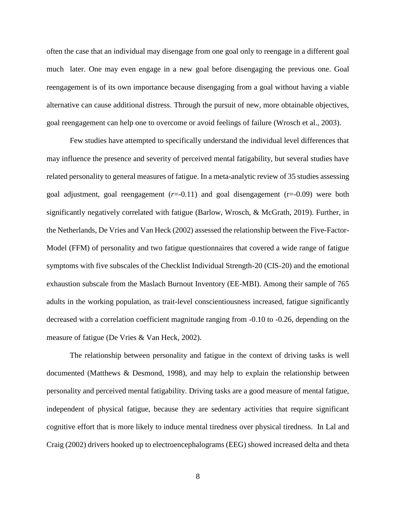often the case that an individual may disengage from one goal only to reengage in a different goal much later. One may even engage in a new goal before disengaging the previous one. Goal reengagement is of its own importance because disengaging from a goal without having a viable alternative can cause additional distress. Through the pursuit of new, more obtainable objectives, goal reengagement can help one to overcome or avoid feelings of failure [\(Wrosch et al., 2003\)](#page-56-0).

Few studies have attempted to specifically understand the individual level differences that may influence the presence and severity of perceived mental fatigability, but several studies have related personality to general measures of fatigue. In a meta-analytic review of 35 studies assessing goal adjustment, goal reengagement (*r*=-0.11) and goal disengagement (r=-0.09) were both significantly negatively correlated with fatigue [\(Barlow, Wrosch, & McGrath, 2019\)](#page-52-6). Further, in the Netherlands, [De Vries and Van Heck \(2002\)](#page-53-10) assessed the relationship between the Five-Factor-Model (FFM) of personality and two fatigue questionnaires that covered a wide range of fatigue symptoms with five subscales of the Checklist Individual Strength-20 (CIS-20) and the emotional exhaustion subscale from the Maslach Burnout Inventory (EE-MBI). Among their sample of 765 adults in the working population, as trait-level conscientiousness increased, fatigue significantly decreased with a correlation coefficient magnitude ranging from -0.10 to -0.26, depending on the measure of fatigue [\(De Vries & Van Heck, 2002\)](#page-53-10).

The relationship between personality and fatigue in the context of driving tasks is well documented [\(Matthews & Desmond, 1998\)](#page-54-9), and may help to explain the relationship between personality and perceived mental fatigability. Driving tasks are a good measure of mental fatigue, independent of physical fatigue, because they are sedentary activities that require significant cognitive effort that is more likely to induce mental tiredness over physical tiredness. In [Lal and](#page-54-10)  Craig (2002) drivers hooked up to electroencephalograms (EEG) showed increased delta and theta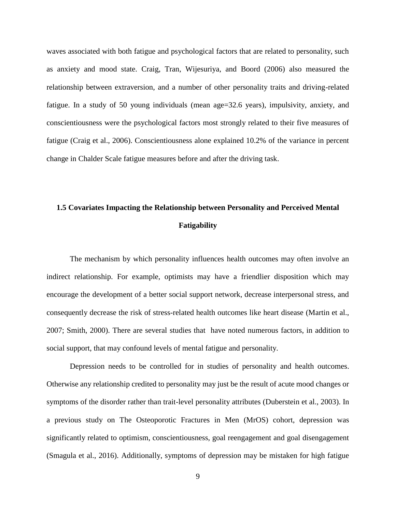waves associated with both fatigue and psychological factors that are related to personality, such as anxiety and mood state. [Craig, Tran, Wijesuriya, and Boord \(2006\)](#page-53-11) also measured the relationship between extraversion, and a number of other personality traits and driving-related fatigue. In a study of 50 young individuals (mean age=32.6 years), impulsivity, anxiety, and conscientiousness were the psychological factors most strongly related to their five measures of fatigue [\(Craig et al., 2006\)](#page-53-11). Conscientiousness alone explained 10.2% of the variance in percent change in Chalder Scale fatigue measures before and after the driving task.

# <span id="page-17-0"></span>**1.5 Covariates Impacting the Relationship between Personality and Perceived Mental Fatigability**

The mechanism by which personality influences health outcomes may often involve an indirect relationship. For example, optimists may have a friendlier disposition which may encourage the development of a better social support network, decrease interpersonal stress, and consequently decrease the risk of stress-related health outcomes like heart disease [\(Martin et al.,](#page-54-8)  [2007;](#page-54-8) [Smith, 2000\)](#page-55-7). There are several studies that have noted numerous factors, in addition to social support, that may confound levels of mental fatigue and personality.

Depression needs to be controlled for in studies of personality and health outcomes. Otherwise any relationship credited to personality may just be the result of acute mood changes or symptoms of the disorder rather than trait-level personality attributes [\(Duberstein et al., 2003\)](#page-53-12). In a previous study on The Osteoporotic Fractures in Men (MrOS) cohort, depression was significantly related to optimism, conscientiousness, goal reengagement and goal disengagement [\(Smagula et](#page-55-6) al., 2016). Additionally, symptoms of depression may be mistaken for high fatigue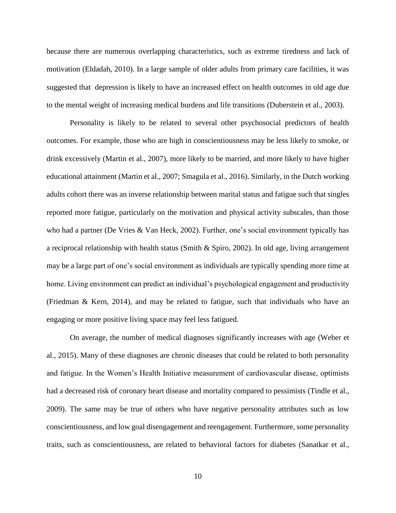because there are numerous overlapping characteristics, such as extreme tiredness and lack of motivation [\(Eldadah, 2010\)](#page-53-5). In a large sample of older adults from primary care facilities, it was suggested that depression is likely to have an increased effect on health outcomes in old age due to the mental weight of increasing medical burdens and life transitions [\(Duberstein et al., 2003\)](#page-53-12).

Personality is likely to be related to several other psychosocial predictors of health outcomes. For example, those who are high in conscientiousness may be less likely to smoke, or drink excessively [\(Martin et al., 2007\)](#page-54-8), more likely to be married, and more likely to have higher educational attainment [\(Martin et al., 2007;](#page-54-8) [Smagula et al., 2016\)](#page-55-6). Similarly, in the Dutch working adults cohort there was an inverse relationship between marital status and fatigue such that singles reported more fatigue, particularly on the motivation and physical activity subscales, than those who had a partner [\(De Vries & Van Heck, 2002\)](#page-53-10). Further, one's social environment typically has a reciprocal relationship with health status [\(Smith & Spiro, 2002\)](#page-55-8). In old age, living arrangement may be a large part of one's social environment as individuals are typically spending more time at home. Living environment can predict an individual's psychological engagement and productivity [\(Friedman & Kern, 2014\)](#page-53-13), and may be related to fatigue, such that individuals who have an engaging or more positive living space may feel less fatigued.

On average, the number of medical diagnoses significantly increases with age [\(Weber et](#page-56-1)  [al., 2015\)](#page-56-1). Many of these diagnoses are chronic diseases that could be related to both personality and fatigue. In the Women's Health Initiative measurement of cardiovascular disease, optimists had a decreased risk of coronary heart disease and mortality compared to pessimists [\(Tindle et al.,](#page-55-9)  [2009\)](#page-55-9). The same may be true of others who have negative personality attributes such as low conscientiousness, and low goal disengagement and reengagement. Furthermore, some personality traits, such as conscientiousness, are related to behavioral factors for diabetes [\(Sanatkar et al.,](#page-54-11)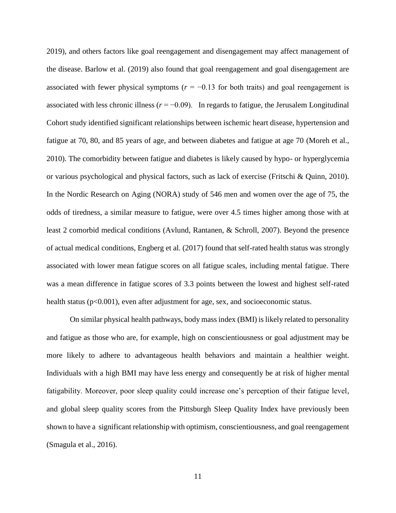[2019\)](#page-54-11), and others factors like goal reengagement and disengagement may affect management of the disease. [Barlow et al. \(2019\)](#page-52-6) also found that goal reengagement and goal disengagement are associated with fewer physical symptoms ( $r = -0.13$  for both traits) and goal reengagement is associated with less chronic illness ( $r = -0.09$ ). In regards to fatigue, the Jerusalem Longitudinal Cohort study identified significant relationships between ischemic heart disease, hypertension and fatigue at 70, 80, and 85 years of age, and between diabetes and fatigue at age 70 [\(Moreh et al.,](#page-54-0)  [2010\)](#page-54-0). The comorbidity between fatigue and diabetes is likely caused by hypo- or hyperglycemia or various psychological and physical factors, such as lack of exercise [\(Fritschi & Quinn, 2010\)](#page-53-14). In the Nordic Research on Aging (NORA) study of 546 men and women over the age of 75, the odds of tiredness, a similar measure to fatigue, were over 4.5 times higher among those with at least 2 comorbid medical conditions [\(Avlund, Rantanen, & Schroll, 2007\)](#page-52-7). Beyond the presence of actual medical conditions, [Engberg et al. \(2017\)](#page-53-8) found that self-rated health status was strongly associated with lower mean fatigue scores on all fatigue scales, including mental fatigue. There was a mean difference in fatigue scores of 3.3 points between the lowest and highest self-rated health status (p<0.001), even after adjustment for age, sex, and socioeconomic status.

On similar physical health pathways, body mass index (BMI) is likely related to personality and fatigue as those who are, for example, high on conscientiousness or goal adjustment may be more likely to adhere to advantageous health behaviors and maintain a healthier weight. Individuals with a high BMI may have less energy and consequently be at risk of higher mental fatigability. Moreover, poor sleep quality could increase one's perception of their fatigue level, and global sleep quality scores from the Pittsburgh Sleep Quality Index have previously been shown to have a significant relationship with optimism, conscientiousness, and goal reengagement [\(Smagula et al., 2016\)](#page-55-6).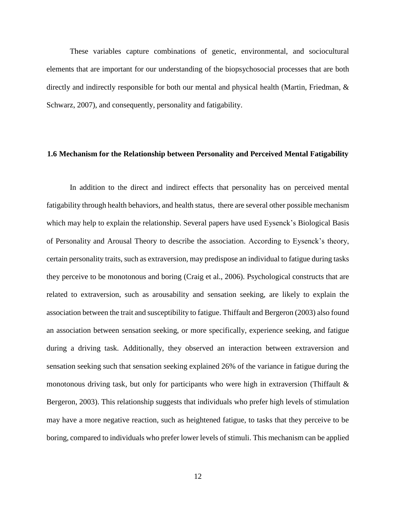These variables capture combinations of genetic, environmental, and sociocultural elements that are important for our understanding of the biopsychosocial processes that are both directly and indirectly responsible for both our mental and physical health (Martin, Friedman, & Schwarz, 2007), and consequently, personality and fatigability.

### <span id="page-20-0"></span>**1.6 Mechanism for the Relationship between Personality and Perceived Mental Fatigability**

In addition to the direct and indirect effects that personality has on perceived mental fatigability through health behaviors, and health status, there are several other possible mechanism which may help to explain the relationship. Several papers have used Eysenck's Biological Basis of Personality and Arousal Theory to describe the association. According to Eysenck's theory, certain personality traits, such as extraversion, may predispose an individual to fatigue during tasks they perceive to be monotonous and boring [\(Craig et al., 2006\)](#page-53-11). Psychological constructs that are related to extraversion, such as arousability and sensation seeking, are likely to explain the association between the trait and susceptibility to fatigue[. Thiffault and Bergeron \(2003\)](#page-55-10) also found an association between sensation seeking, or more specifically, experience seeking, and fatigue during a driving task. Additionally, they observed an interaction between extraversion and sensation seeking such that sensation seeking explained 26% of the variance in fatigue during the monotonous driving task, but only for participants who were high in extraversion (Thiffault  $\&$ [Bergeron, 2003\)](#page-55-10). This relationship suggests that individuals who prefer high levels of stimulation may have a more negative reaction, such as heightened fatigue, to tasks that they perceive to be boring, compared to individuals who prefer lower levels of stimuli. This mechanism can be applied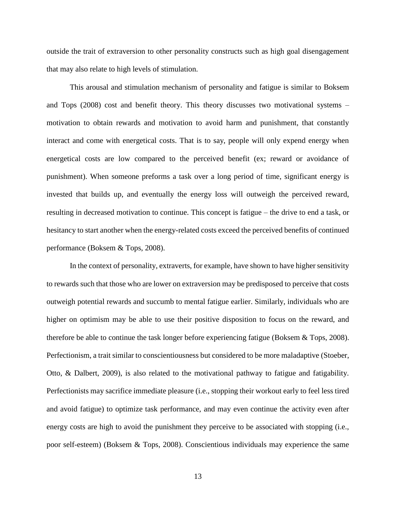outside the trait of extraversion to other personality constructs such as high goal disengagement that may also relate to high levels of stimulation.

This arousal and stimulation mechanism of personality and fatigue is similar to [Boksem](#page-52-2)  and Tops (2008) cost and benefit theory. This theory discusses two motivational systems – motivation to obtain rewards and motivation to avoid harm and punishment, that constantly interact and come with energetical costs. That is to say, people will only expend energy when energetical costs are low compared to the perceived benefit (ex; reward or avoidance of punishment). When someone preforms a task over a long period of time, significant energy is invested that builds up, and eventually the energy loss will outweigh the perceived reward, resulting in decreased motivation to continue. This concept is fatigue – the drive to end a task, or hesitancy to start another when the energy-related costs exceed the perceived benefits of continued performance [\(Boksem & Tops, 2008\)](#page-52-2).

In the context of personality, extraverts, for example, have shown to have higher sensitivity to rewards such that those who are lower on extraversion may be predisposed to perceive that costs outweigh potential rewards and succumb to mental fatigue earlier. Similarly, individuals who are higher on optimism may be able to use their positive disposition to focus on the reward, and therefore be able to continue the task longer before experiencing fatigue [\(Boksem & Tops, 2008\)](#page-52-2). Perfectionism, a trait similar to conscientiousness but considered to be more maladaptive [\(Stoeber,](#page-55-11)  [Otto, & Dalbert, 2009\)](#page-55-11), is also related to the motivational pathway to fatigue and fatigability. Perfectionists may sacrifice immediate pleasure (i.e., stopping their workout early to feel less tired and avoid fatigue) to optimize task performance, and may even continue the activity even after energy costs are high to avoid the punishment they perceive to be associated with stopping (i.e., poor self-esteem) [\(Boksem & Tops, 2008\)](#page-52-2). Conscientious individuals may experience the same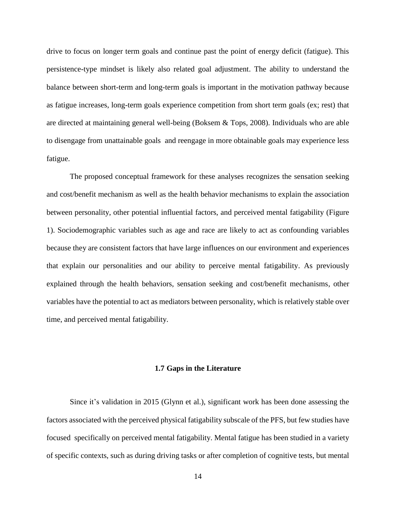drive to focus on longer term goals and continue past the point of energy deficit (fatigue). This persistence-type mindset is likely also related goal adjustment. The ability to understand the balance between short-term and long-term goals is important in the motivation pathway because as fatigue increases, long-term goals experience competition from short term goals (ex; rest) that are directed at maintaining general well-being [\(Boksem & Tops, 2008\)](#page-52-2). Individuals who are able to disengage from unattainable goals and reengage in more obtainable goals may experience less fatigue.

The proposed conceptual framework for these analyses recognizes the sensation seeking and cost/benefit mechanism as well as the health behavior mechanisms to explain the association between personality, other potential influential factors, and perceived mental fatigability (Figure 1). Sociodemographic variables such as age and race are likely to act as confounding variables because they are consistent factors that have large influences on our environment and experiences that explain our personalities and our ability to perceive mental fatigability. As previously explained through the health behaviors, sensation seeking and cost/benefit mechanisms, other variables have the potential to act as mediators between personality, which is relatively stable over time, and perceived mental fatigability.

### **1.7 Gaps in the Literature**

<span id="page-22-0"></span>Since it's validation in 2015 [\(Glynn et al.\)](#page-53-6), significant work has been done assessing the factors associated with the perceived physical fatigability subscale of the PFS, but few studies have focused specifically on perceived mental fatigability. Mental fatigue has been studied in a variety of specific contexts, such as during driving tasks or after completion of cognitive tests, but mental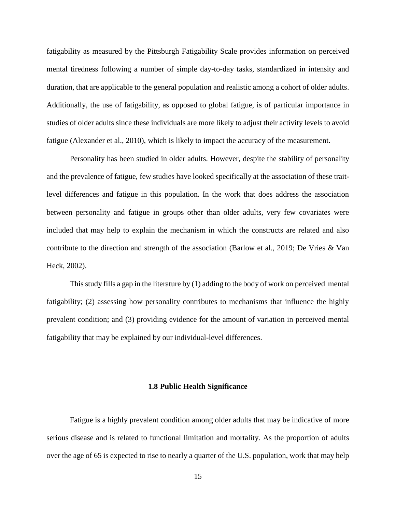fatigability as measured by the Pittsburgh Fatigability Scale provides information on perceived mental tiredness following a number of simple day-to-day tasks, standardized in intensity and duration, that are applicable to the general population and realistic among a cohort of older adults. Additionally, the use of fatigability, as opposed to global fatigue, is of particular importance in studies of older adults since these individuals are more likely to adjust their activity levels to avoid fatigue [\(Alexander et al., 2010\)](#page-52-1), which is likely to impact the accuracy of the measurement.

Personality has been studied in older adults. However, despite the stability of personality and the prevalence of fatigue, few studies have looked specifically at the association of these traitlevel differences and fatigue in this population. In the work that does address the association between personality and fatigue in groups other than older adults, very few covariates were included that may help to explain the mechanism in which the constructs are related and also contribute to the direction and strength of the association [\(Barlow et al., 2019;](#page-52-6) [De Vries & Van](#page-53-10)  [Heck, 2002\)](#page-53-10).

This study fills a gap in the literature by (1) adding to the body of work on perceived mental fatigability; (2) assessing how personality contributes to mechanisms that influence the highly prevalent condition; and (3) providing evidence for the amount of variation in perceived mental fatigability that may be explained by our individual-level differences.

### **1.8 Public Health Significance**

<span id="page-23-0"></span>Fatigue is a highly prevalent condition among older adults that may be indicative of more serious disease and is related to functional limitation and mortality. As the proportion of adults over the age of 65 is expected to rise to nearly a quarter of the U.S. population, work that may help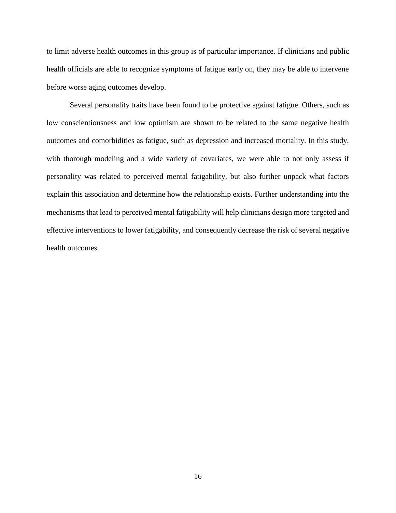to limit adverse health outcomes in this group is of particular importance. If clinicians and public health officials are able to recognize symptoms of fatigue early on, they may be able to intervene before worse aging outcomes develop.

Several personality traits have been found to be protective against fatigue. Others, such as low conscientiousness and low optimism are shown to be related to the same negative health outcomes and comorbidities as fatigue, such as depression and increased mortality. In this study, with thorough modeling and a wide variety of covariates, we were able to not only assess if personality was related to perceived mental fatigability, but also further unpack what factors explain this association and determine how the relationship exists. Further understanding into the mechanisms that lead to perceived mental fatigability will help clinicians design more targeted and effective interventions to lower fatigability, and consequently decrease the risk of several negative health outcomes.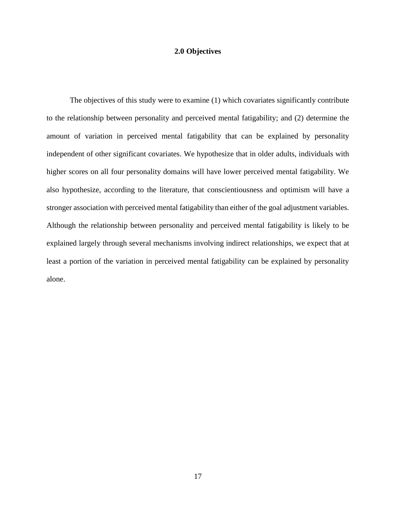## **2.0 Objectives**

<span id="page-25-0"></span>The objectives of this study were to examine (1) which covariates significantly contribute to the relationship between personality and perceived mental fatigability; and (2) determine the amount of variation in perceived mental fatigability that can be explained by personality independent of other significant covariates. We hypothesize that in older adults, individuals with higher scores on all four personality domains will have lower perceived mental fatigability. We also hypothesize, according to the literature, that conscientiousness and optimism will have a stronger association with perceived mental fatigability than either of the goal adjustment variables. Although the relationship between personality and perceived mental fatigability is likely to be explained largely through several mechanisms involving indirect relationships, we expect that at least a portion of the variation in perceived mental fatigability can be explained by personality alone.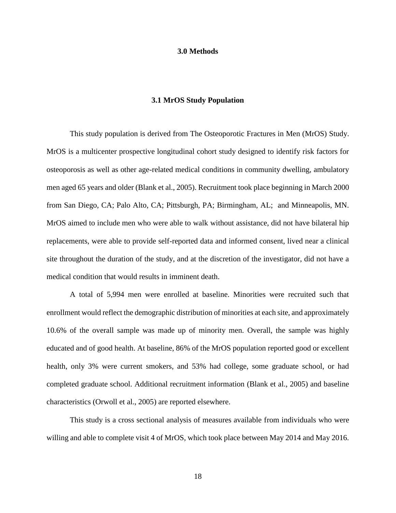### **3.0 Methods**

### **3.1 MrOS Study Population**

<span id="page-26-1"></span><span id="page-26-0"></span>This study population is derived from The Osteoporotic Fractures in Men (MrOS) Study. MrOS is a multicenter prospective longitudinal cohort study designed to identify risk factors for osteoporosis as well as other age-related medical conditions in community dwelling, ambulatory men aged 65 years and older [\(Blank et al., 2005\)](#page-52-8). Recruitment took place beginning in March 2000 from San Diego, CA; Palo Alto, CA; Pittsburgh, PA; Birmingham, AL; and Minneapolis, MN. MrOS aimed to include men who were able to walk without assistance, did not have bilateral hip replacements, were able to provide self-reported data and informed consent, lived near a clinical site throughout the duration of the study, and at the discretion of the investigator, did not have a medical condition that would results in imminent death.

A total of 5,994 men were enrolled at baseline. Minorities were recruited such that enrollment would reflect the demographic distribution of minorities at each site, and approximately 10.6% of the overall sample was made up of minority men. Overall, the sample was highly educated and of good health. At baseline, 86% of the MrOS population reported good or excellent health, only 3% were current smokers, and 53% had college, some graduate school, or had completed graduate school. Additional recruitment information [\(Blank et al., 2005\)](#page-52-8) and baseline characteristics [\(Orwoll et al., 2005\)](#page-54-12) are reported elsewhere.

This study is a cross sectional analysis of measures available from individuals who were willing and able to complete visit 4 of MrOS, which took place between May 2014 and May 2016.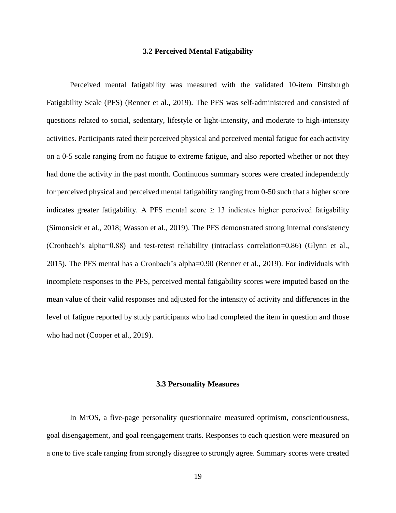### **3.2 Perceived Mental Fatigability**

<span id="page-27-0"></span>Perceived mental fatigability was measured with the validated 10-item Pittsburgh Fatigability Scale (PFS) [\(Renner et al., 2019\)](#page-54-3). The PFS was self-administered and consisted of questions related to social, sedentary, lifestyle or light-intensity, and moderate to high-intensity activities. Participants rated their perceived physical and perceived mental fatigue for each activity on a 0-5 scale ranging from no fatigue to extreme fatigue, and also reported whether or not they had done the activity in the past month. Continuous summary scores were created independently for perceived physical and perceived mental fatigability ranging from 0-50 such that a higher score indicates greater fatigability. A PFS mental score  $\geq$  13 indicates higher perceived fatigability [\(Simonsick et al., 2018;](#page-55-5) [Wasson et al., 2019\)](#page-55-3). The PFS demonstrated strong internal consistency (Cronbach's alpha=0.88) and test-retest reliability (intraclass correlation=0.86) [\(Glynn et al.,](#page-53-6)  [2015\)](#page-53-6). The PFS mental has a Cronbach's alpha=0.90 [\(Renner et al., 2019\)](#page-54-3). For individuals with incomplete responses to the PFS, perceived mental fatigability scores were imputed based on the mean value of their valid responses and adjusted for the intensity of activity and differences in the level of fatigue reported by study participants who had completed the item in question and those who had not [\(Cooper et al., 2019\)](#page-52-9).

### **3.3 Personality Measures**

<span id="page-27-1"></span>In MrOS, a five-page personality questionnaire measured optimism, conscientiousness, goal disengagement, and goal reengagement traits. Responses to each question were measured on a one to five scale ranging from strongly disagree to strongly agree. Summary scores were created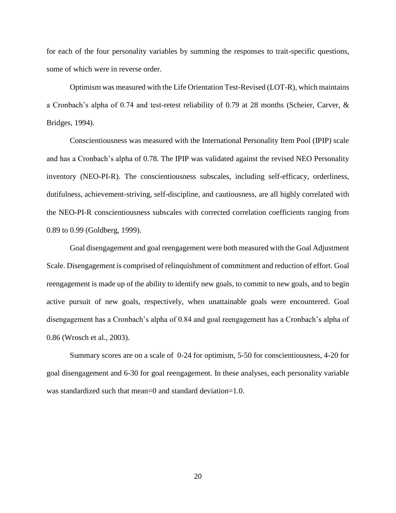for each of the four personality variables by summing the responses to trait-specific questions, some of which were in reverse order.

Optimism was measured with the Life Orientation Test-Revised (LOT-R), which maintains a Cronbach's alpha of 0.74 and test-retest reliability of 0.79 at 28 months [\(Scheier, Carver, &](#page-55-12)  [Bridges, 1994\)](#page-55-12).

Conscientiousness was measured with the International Personality Item Pool (IPIP) scale and has a Cronbach's alpha of 0.78. The IPIP was validated against the revised NEO Personality inventory (NEO-PI-R). The conscientiousness subscales, including self-efficacy, orderliness, dutifulness, achievement-striving, self-discipline, and cautiousness, are all highly correlated with the NEO-PI-R conscientiousness subscales with corrected correlation coefficients ranging from 0.89 to 0.99 [\(Goldberg, 1999\)](#page-53-15).

Goal disengagement and goal reengagement were both measured with the Goal Adjustment Scale. Disengagement is comprised of relinquishment of commitment and reduction of effort. Goal reengagement is made up of the ability to identify new goals, to commit to new goals, and to begin active pursuit of new goals, respectively, when unattainable goals were encountered. Goal disengagement has a Cronbach's alpha of 0.84 and goal reengagement has a Cronbach's alpha of 0.86 [\(Wrosch et al., 2003\)](#page-56-0).

Summary scores are on a scale of 0-24 for optimism, 5-50 for conscientiousness, 4-20 for goal disengagement and 6-30 for goal reengagement. In these analyses, each personality variable was standardized such that mean=0 and standard deviation=1.0.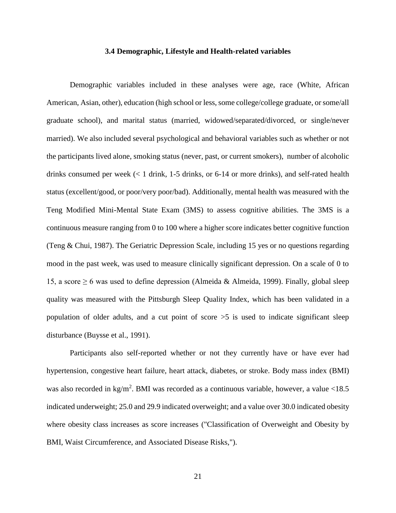### **3.4 Demographic, Lifestyle and Health-related variables**

<span id="page-29-0"></span>Demographic variables included in these analyses were age, race (White, African American, Asian, other), education (high school or less, some college/college graduate, or some/all graduate school), and marital status (married, widowed/separated/divorced, or single/never married). We also included several psychological and behavioral variables such as whether or not the participants lived alone, smoking status (never, past, or current smokers), number of alcoholic drinks consumed per week (< 1 drink, 1-5 drinks, or 6-14 or more drinks), and self-rated health status (excellent/good, or poor/very poor/bad). Additionally, mental health was measured with the Teng Modified Mini-Mental State Exam (3MS) to assess cognitive abilities. The 3MS is a continuous measure ranging from 0 to 100 where a higher score indicates better cognitive function [\(Teng & Chui, 1987\)](#page-55-13). The Geriatric Depression Scale, including 15 yes or no questions regarding mood in the past week, was used to measure clinically significant depression. On a scale of 0 to 15, a score  $\geq 6$  was used to define depression [\(Almeida & Almeida, 1999\)](#page-52-10). Finally, global sleep quality was measured with the Pittsburgh Sleep Quality Index, which has been validated in a population of older adults, and a cut point of score  $>5$  is used to indicate significant sleep disturbance [\(Buysse et al., 1991\)](#page-52-11).

Participants also self-reported whether or not they currently have or have ever had hypertension, congestive heart failure, heart attack, diabetes, or stroke. Body mass index (BMI) was also recorded in  $\text{kg/m}^2$ . BMI was recorded as a continuous variable, however, a value <18.5 indicated underweight; 25.0 and 29.9 indicated overweight; and a value over 30.0 indicated obesity where obesity class increases as score increases [\("Classification of Overweight and Obesity by](#page-52-12)  [BMI, Waist Circumference, and Associated Disease Risks,"\)](#page-52-12).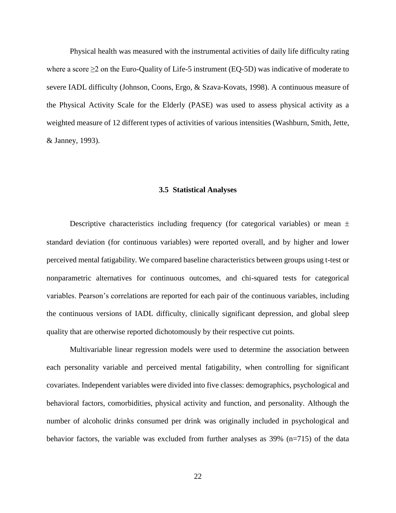Physical health was measured with the instrumental activities of daily life difficulty rating where a score  $\geq$  2 on the Euro-Quality of Life-5 instrument (EQ-5D) was indicative of moderate to severe IADL difficulty [\(Johnson, Coons, Ergo, & Szava-Kovats, 1998\)](#page-54-13). A continuous measure of the Physical Activity Scale for the Elderly (PASE) was used to assess physical activity as a weighted measure of 12 different types of activities of various intensities [\(Washburn, Smith, Jette,](#page-55-14)  [& Janney, 1993\)](#page-55-14).

#### <span id="page-30-0"></span>**3.5 Statistical Analyses**

Descriptive characteristics including frequency (for categorical variables) or mean  $\pm$ standard deviation (for continuous variables) were reported overall, and by higher and lower perceived mental fatigability. We compared baseline characteristics between groups using t-test or nonparametric alternatives for continuous outcomes, and chi-squared tests for categorical variables. Pearson's correlations are reported for each pair of the continuous variables, including the continuous versions of IADL difficulty, clinically significant depression, and global sleep quality that are otherwise reported dichotomously by their respective cut points.

Multivariable linear regression models were used to determine the association between each personality variable and perceived mental fatigability, when controlling for significant covariates. Independent variables were divided into five classes: demographics, psychological and behavioral factors, comorbidities, physical activity and function, and personality. Although the number of alcoholic drinks consumed per drink was originally included in psychological and behavior factors, the variable was excluded from further analyses as 39% (n=715) of the data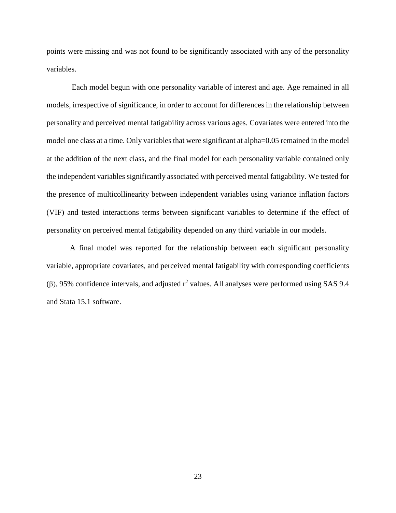points were missing and was not found to be significantly associated with any of the personality variables.

Each model begun with one personality variable of interest and age. Age remained in all models, irrespective of significance, in order to account for differences in the relationship between personality and perceived mental fatigability across various ages. Covariates were entered into the model one class at a time. Only variables that were significant at alpha=0.05 remained in the model at the addition of the next class, and the final model for each personality variable contained only the independent variables significantly associated with perceived mental fatigability. We tested for the presence of multicollinearity between independent variables using variance inflation factors (VIF) and tested interactions terms between significant variables to determine if the effect of personality on perceived mental fatigability depended on any third variable in our models.

A final model was reported for the relationship between each significant personality variable, appropriate covariates, and perceived mental fatigability with corresponding coefficients (β), 95% confidence intervals, and adjusted  $r^2$  values. All analyses were performed using SAS 9.4 and Stata 15.1 software.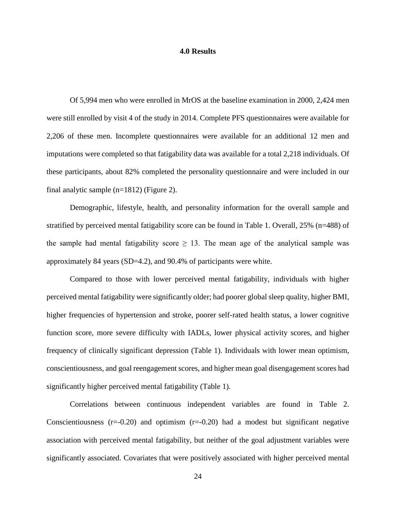### **4.0 Results**

<span id="page-32-0"></span>Of 5,994 men who were enrolled in MrOS at the baseline examination in 2000, 2,424 men were still enrolled by visit 4 of the study in 2014. Complete PFS questionnaires were available for 2,206 of these men. Incomplete questionnaires were available for an additional 12 men and imputations were completed so that fatigability data was available for a total 2,218 individuals. Of these participants, about 82% completed the personality questionnaire and were included in our final analytic sample (n=1812) (Figure 2).

Demographic, lifestyle, health, and personality information for the overall sample and stratified by perceived mental fatigability score can be found in Table 1. Overall, 25% (n=488) of the sample had mental fatigability score  $\geq$  13. The mean age of the analytical sample was approximately 84 years (SD=4.2), and 90.4% of participants were white.

Compared to those with lower perceived mental fatigability, individuals with higher perceived mental fatigability were significantly older; had poorer global sleep quality, higher BMI, higher frequencies of hypertension and stroke, poorer self-rated health status, a lower cognitive function score, more severe difficulty with IADLs, lower physical activity scores, and higher frequency of clinically significant depression (Table 1). Individuals with lower mean optimism, conscientiousness, and goal reengagement scores, and higher mean goal disengagement scores had significantly higher perceived mental fatigability (Table 1).

Correlations between continuous independent variables are found in Table 2. Conscientiousness  $(r=0.20)$  and optimism  $(r=0.20)$  had a modest but significant negative association with perceived mental fatigability, but neither of the goal adjustment variables were significantly associated. Covariates that were positively associated with higher perceived mental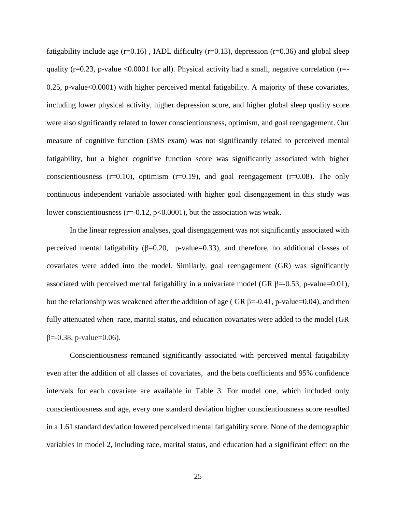fatigability include age  $(r=0.16)$ , IADL difficulty  $(r=0.13)$ , depression  $(r=0.36)$  and global sleep quality ( $r=0.23$ , p-value <0.0001 for all). Physical activity had a small, negative correlation ( $r=$ 0.25, p-value<0.0001) with higher perceived mental fatigability. A majority of these covariates, including lower physical activity, higher depression score, and higher global sleep quality score were also significantly related to lower conscientiousness, optimism, and goal reengagement. Our measure of cognitive function (3MS exam) was not significantly related to perceived mental fatigability, but a higher cognitive function score was significantly associated with higher conscientiousness  $(r=0.10)$ , optimism  $(r=0.19)$ , and goal reengagement  $(r=0.08)$ . The only continuous independent variable associated with higher goal disengagement in this study was lower conscientiousness ( $r = 0.12$ ,  $p < 0.0001$ ), but the association was weak.

In the linear regression analyses, goal disengagement was not significantly associated with perceived mental fatigability  $(\beta=0.20, p-value=0.33)$ , and therefore, no additional classes of covariates were added into the model. Similarly, goal reengagement (GR) was significantly associated with perceived mental fatigability in a univariate model (GR  $\beta$ =-0.53, p-value=0.01), but the relationship was weakened after the addition of age ( GR  $\beta$ =-0.41, p-value=0.04), and then fully attenuated when race, marital status, and education covariates were added to the model (GR  $β = -0.38$ , p-value=0.06).

Conscientiousness remained significantly associated with perceived mental fatigability even after the addition of all classes of covariates, and the beta coefficients and 95% confidence intervals for each covariate are available in Table 3. For model one, which included only conscientiousness and age, every one standard deviation higher conscientiousness score resulted in a 1.61 standard deviation lowered perceived mental fatigability score. None of the demographic variables in model 2, including race, marital status, and education had a significant effect on the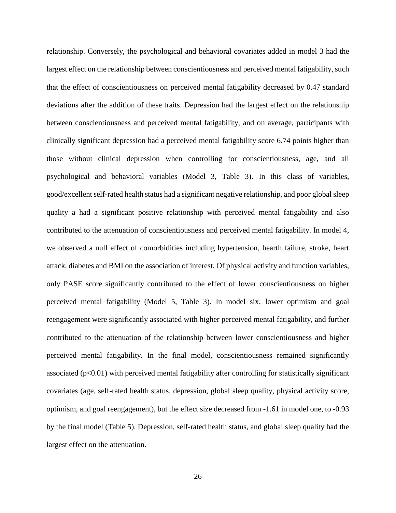relationship. Conversely, the psychological and behavioral covariates added in model 3 had the largest effect on the relationship between conscientiousness and perceived mental fatigability, such that the effect of conscientiousness on perceived mental fatigability decreased by 0.47 standard deviations after the addition of these traits. Depression had the largest effect on the relationship between conscientiousness and perceived mental fatigability, and on average, participants with clinically significant depression had a perceived mental fatigability score 6.74 points higher than those without clinical depression when controlling for conscientiousness, age, and all psychological and behavioral variables (Model 3, Table 3). In this class of variables, good/excellent self-rated health status had a significant negative relationship, and poor global sleep quality a had a significant positive relationship with perceived mental fatigability and also contributed to the attenuation of conscientiousness and perceived mental fatigability. In model 4, we observed a null effect of comorbidities including hypertension, hearth failure, stroke, heart attack, diabetes and BMI on the association of interest. Of physical activity and function variables, only PASE score significantly contributed to the effect of lower conscientiousness on higher perceived mental fatigability (Model 5, Table 3). In model six, lower optimism and goal reengagement were significantly associated with higher perceived mental fatigability, and further contributed to the attenuation of the relationship between lower conscientiousness and higher perceived mental fatigability. In the final model, conscientiousness remained significantly associated  $(p<0.01)$  with perceived mental fatigability after controlling for statistically significant covariates (age, self-rated health status, depression, global sleep quality, physical activity score, optimism, and goal reengagement), but the effect size decreased from -1.61 in model one, to -0.93 by the final model (Table 5). Depression, self-rated health status, and global sleep quality had the largest effect on the attenuation.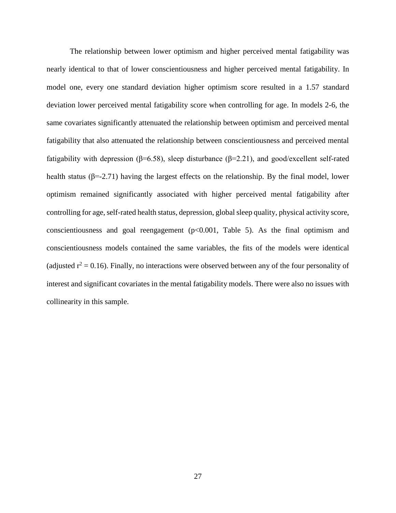The relationship between lower optimism and higher perceived mental fatigability was nearly identical to that of lower conscientiousness and higher perceived mental fatigability. In model one, every one standard deviation higher optimism score resulted in a 1.57 standard deviation lower perceived mental fatigability score when controlling for age. In models 2-6, the same covariates significantly attenuated the relationship between optimism and perceived mental fatigability that also attenuated the relationship between conscientiousness and perceived mental fatigability with depression (β=6.58), sleep disturbance (β=2.21), and good/excellent self-rated health status ( $\beta$ =-2.71) having the largest effects on the relationship. By the final model, lower optimism remained significantly associated with higher perceived mental fatigability after controlling for age, self-rated health status, depression, global sleep quality, physical activity score, conscientiousness and goal reengagement  $(p<0.001$ , Table 5). As the final optimism and conscientiousness models contained the same variables, the fits of the models were identical (adjusted  $r^2 = 0.16$ ). Finally, no interactions were observed between any of the four personality of interest and significant covariates in the mental fatigability models. There were also no issues with collinearity in this sample.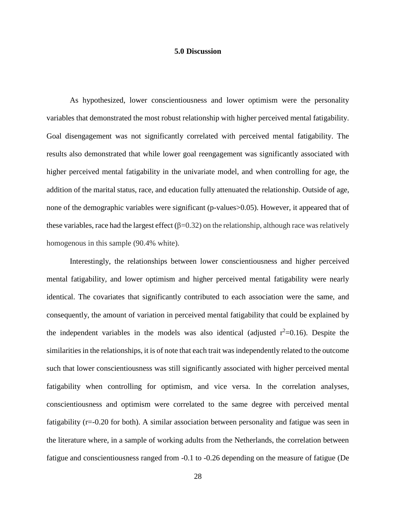### **5.0 Discussion**

<span id="page-36-0"></span>As hypothesized, lower conscientiousness and lower optimism were the personality variables that demonstrated the most robust relationship with higher perceived mental fatigability. Goal disengagement was not significantly correlated with perceived mental fatigability. The results also demonstrated that while lower goal reengagement was significantly associated with higher perceived mental fatigability in the univariate model, and when controlling for age, the addition of the marital status, race, and education fully attenuated the relationship. Outside of age, none of the demographic variables were significant (p-values>0.05). However, it appeared that of these variables, race had the largest effect  $(\beta=0.32)$  on the relationship, although race was relatively homogenous in this sample (90.4% white).

Interestingly, the relationships between lower conscientiousness and higher perceived mental fatigability, and lower optimism and higher perceived mental fatigability were nearly identical. The covariates that significantly contributed to each association were the same, and consequently, the amount of variation in perceived mental fatigability that could be explained by the independent variables in the models was also identical (adjusted  $r^2=0.16$ ). Despite the similarities in the relationships, it is of note that each trait was independently related to the outcome such that lower conscientiousness was still significantly associated with higher perceived mental fatigability when controlling for optimism, and vice versa. In the correlation analyses, conscientiousness and optimism were correlated to the same degree with perceived mental fatigability (r=-0.20 for both). A similar association between personality and fatigue was seen in the literature where, in a sample of working adults from the Netherlands, the correlation between fatigue and conscientiousness ranged from -0.1 to -0.26 depending on the measure of fatigue [\(De](#page-53-10)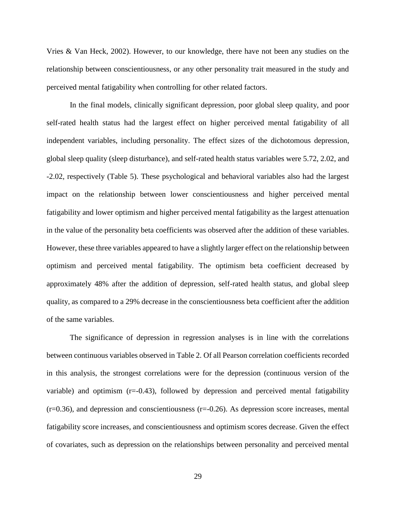[Vries & Van Heck, 2002\)](#page-53-10). However, to our knowledge, there have not been any studies on the relationship between conscientiousness, or any other personality trait measured in the study and perceived mental fatigability when controlling for other related factors.

In the final models, clinically significant depression, poor global sleep quality, and poor self-rated health status had the largest effect on higher perceived mental fatigability of all independent variables, including personality. The effect sizes of the dichotomous depression, global sleep quality (sleep disturbance), and self-rated health status variables were 5.72, 2.02, and -2.02, respectively (Table 5). These psychological and behavioral variables also had the largest impact on the relationship between lower conscientiousness and higher perceived mental fatigability and lower optimism and higher perceived mental fatigability as the largest attenuation in the value of the personality beta coefficients was observed after the addition of these variables. However, these three variables appeared to have a slightly larger effect on the relationship between optimism and perceived mental fatigability. The optimism beta coefficient decreased by approximately 48% after the addition of depression, self-rated health status, and global sleep quality, as compared to a 29% decrease in the conscientiousness beta coefficient after the addition of the same variables.

The significance of depression in regression analyses is in line with the correlations between continuous variables observed in Table 2. Of all Pearson correlation coefficients recorded in this analysis, the strongest correlations were for the depression (continuous version of the variable) and optimism  $(r=0.43)$ , followed by depression and perceived mental fatigability  $(r=0.36)$ , and depression and conscientiousness  $(r=-0.26)$ . As depression score increases, mental fatigability score increases, and conscientiousness and optimism scores decrease. Given the effect of covariates, such as depression on the relationships between personality and perceived mental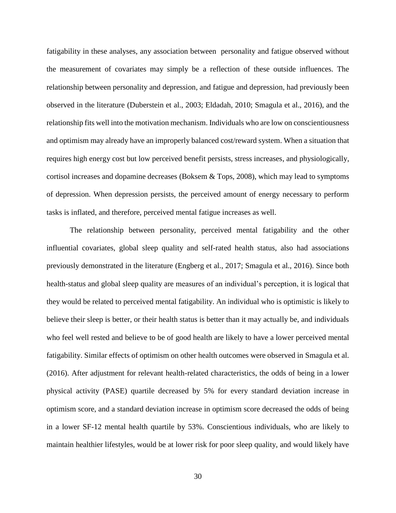fatigability in these analyses, any association between personality and fatigue observed without the measurement of covariates may simply be a reflection of these outside influences. The relationship between personality and depression, and fatigue and depression, had previously been observed in the literature [\(Duberstein et al., 2003;](#page-53-12) [Eldadah, 2010;](#page-53-5) [Smagula et al., 2016\)](#page-55-6), and the relationship fits well into the motivation mechanism. Individuals who are low on conscientiousness and optimism may already have an improperly balanced cost/reward system. When a situation that requires high energy cost but low perceived benefit persists, stress increases, and physiologically, cortisol increases and dopamine decreases [\(Boksem & Tops, 2008\)](#page-52-2), which may lead to symptoms of depression. When depression persists, the perceived amount of energy necessary to perform tasks is inflated, and therefore, perceived mental fatigue increases as well.

The relationship between personality, perceived mental fatigability and the other influential covariates, global sleep quality and self-rated health status, also had associations previously demonstrated in the literature [\(Engberg et al., 2017;](#page-53-8) [Smagula et al., 2016\)](#page-55-6). Since both health-status and global sleep quality are measures of an individual's perception, it is logical that they would be related to perceived mental fatigability. An individual who is optimistic is likely to believe their sleep is better, or their health status is better than it may actually be, and individuals who feel well rested and believe to be of good health are likely to have a lower perceived mental fatigability. Similar effects of optimism on other health outcomes were observed in [Smagula et al.](#page-55-6)  (2016). After adjustment for relevant health-related characteristics, the odds of being in a lower physical activity (PASE) quartile decreased by 5% for every standard deviation increase in optimism score, and a standard deviation increase in optimism score decreased the odds of being in a lower SF-12 mental health quartile by 53%. Conscientious individuals, who are likely to maintain healthier lifestyles, would be at lower risk for poor sleep quality, and would likely have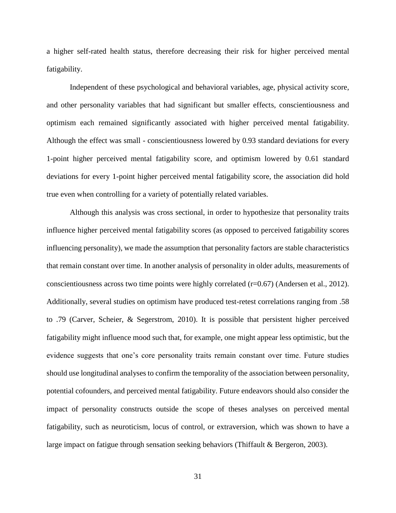a higher self-rated health status, therefore decreasing their risk for higher perceived mental fatigability.

Independent of these psychological and behavioral variables, age, physical activity score, and other personality variables that had significant but smaller effects, conscientiousness and optimism each remained significantly associated with higher perceived mental fatigability. Although the effect was small - conscientiousness lowered by 0.93 standard deviations for every 1-point higher perceived mental fatigability score, and optimism lowered by 0.61 standard deviations for every 1-point higher perceived mental fatigability score, the association did hold true even when controlling for a variety of potentially related variables.

Although this analysis was cross sectional, in order to hypothesize that personality traits influence higher perceived mental fatigability scores (as opposed to perceived fatigability scores influencing personality), we made the assumption that personality factors are stable characteristics that remain constant over time. In another analysis of personality in older adults, measurements of conscientiousness across two time points were highly correlated  $(r=0.67)$  [\(Andersen et al., 2012\)](#page-52-13). Additionally, several studies on optimism have produced test-retest correlations ranging from .58 to .79 [\(Carver, Scheier, & Segerstrom, 2010\)](#page-52-14). It is possible that persistent higher perceived fatigability might influence mood such that, for example, one might appear less optimistic, but the evidence suggests that one's core personality traits remain constant over time. Future studies should use longitudinal analyses to confirm the temporality of the association between personality, potential cofounders, and perceived mental fatigability. Future endeavors should also consider the impact of personality constructs outside the scope of theses analyses on perceived mental fatigability, such as neuroticism, locus of control, or extraversion, which was shown to have a large impact on fatigue through sensation seeking behaviors [\(Thiffault & Bergeron, 2003\)](#page-55-10).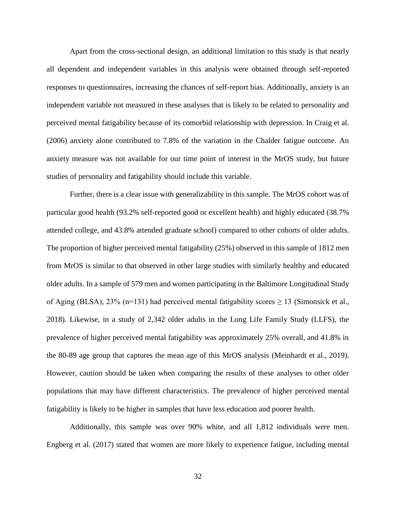Apart from the cross-sectional design, an additional limitation to this study is that nearly all dependent and independent variables in this analysis were obtained through self-reported responses to questionnaires, increasing the chances of self-report bias. Additionally, anxiety is an independent variable not measured in these analyses that is likely to be related to personality and perceived mental fatigability because of its comorbid relationship with depression. In [Craig et al.](#page-53-11)  (2006) anxiety alone contributed to 7.8% of the variation in the Chalder fatigue outcome. An anxiety measure was not available for our time point of interest in the MrOS study, but future studies of personality and fatigability should include this variable.

Further, there is a clear issue with generalizability in this sample. The MrOS cohort was of particular good health (93.2% self-reported good or excellent health) and highly educated (38.7% attended college, and 43.8% attended graduate school) compared to other cohorts of older adults. The proportion of higher perceived mental fatigability (25%) observed in this sample of 1812 men from MrOS is similar to that observed in other large studies with similarly healthy and educated older adults. In a sample of 579 men and women participating in the Baltimore Longitudinal Study of Aging (BLSA), 23% (n=131) had perceived mental fatigability scores  $\geq$  13 (Simonsick et al., [2018\)](#page-55-5). Likewise, in a study of 2,342 older adults in the Long Life Family Study (LLFS), the prevalence of higher perceived mental fatigability was approximately 25% overall, and 41.8% in the 80-89 age group that captures the mean age of this MrOS analysis [\(Meinhardt et al., 2019\)](#page-54-14). However, caution should be taken when comparing the results of these analyses to other older populations that may have different characteristics. The prevalence of higher perceived mental fatigability is likely to be higher in samples that have less education and poorer health.

Additionally, this sample was over 90% white, and all 1,812 individuals were men. [Engberg et al. \(2017\)](#page-53-8) stated that women are more likely to experience fatigue, including mental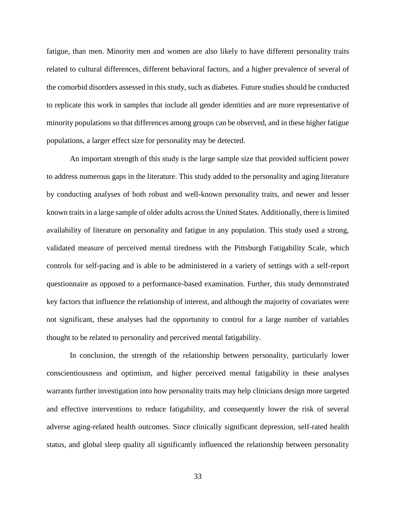fatigue, than men. Minority men and women are also likely to have different personality traits related to cultural differences, different behavioral factors, and a higher prevalence of several of the comorbid disorders assessed in this study, such as diabetes. Future studies should be conducted to replicate this work in samples that include all gender identities and are more representative of minority populations so that differences among groups can be observed, and in these higher fatigue populations, a larger effect size for personality may be detected.

An important strength of this study is the large sample size that provided sufficient power to address numerous gaps in the literature. This study added to the personality and aging literature by conducting analyses of both robust and well-known personality traits, and newer and lesser known traits in a large sample of older adults across the United States. Additionally, there is limited availability of literature on personality and fatigue in any population. This study used a strong, validated measure of perceived mental tiredness with the Pittsburgh Fatigability Scale, which controls for self-pacing and is able to be administered in a variety of settings with a self-report questionnaire as opposed to a performance-based examination. Further, this study demonstrated key factors that influence the relationship of interest, and although the majority of covariates were not significant, these analyses had the opportunity to control for a large number of variables thought to be related to personality and perceived mental fatigability.

In conclusion, the strength of the relationship between personality, particularly lower conscientiousness and optimism, and higher perceived mental fatigability in these analyses warrants further investigation into how personality traits may help clinicians design more targeted and effective interventions to reduce fatigability, and consequently lower the risk of several adverse aging-related health outcomes. Since clinically significant depression, self-rated health status, and global sleep quality all significantly influenced the relationship between personality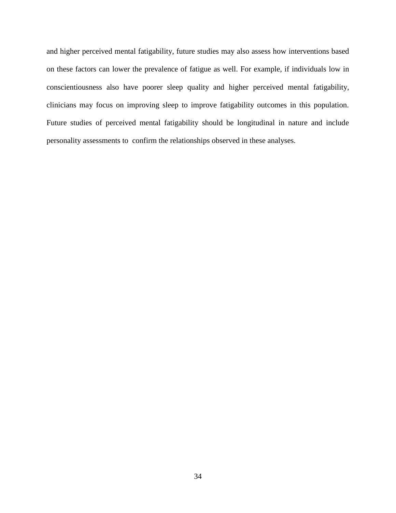and higher perceived mental fatigability, future studies may also assess how interventions based on these factors can lower the prevalence of fatigue as well. For example, if individuals low in conscientiousness also have poorer sleep quality and higher perceived mental fatigability, clinicians may focus on improving sleep to improve fatigability outcomes in this population. Future studies of perceived mental fatigability should be longitudinal in nature and include personality assessments to confirm the relationships observed in these analyses.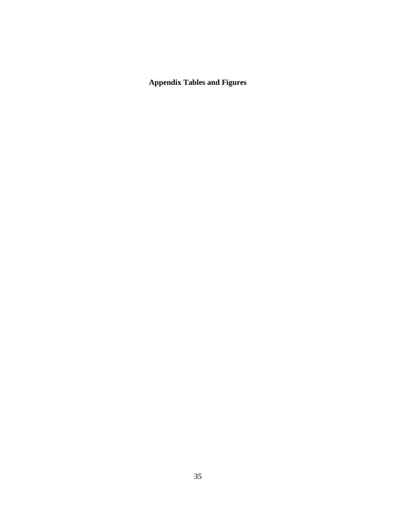<span id="page-43-0"></span>**Appendix Tables and Figures**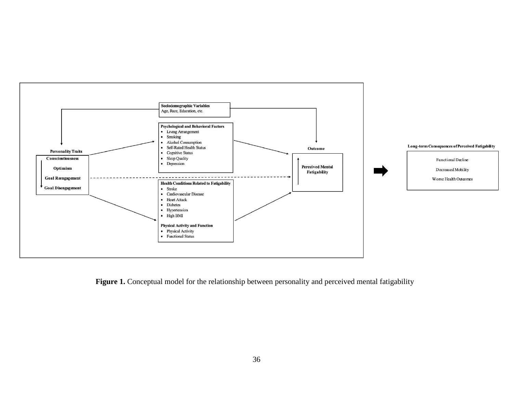

Figure 1. Conceptual model for the relationship between personality and perceived mental fatigability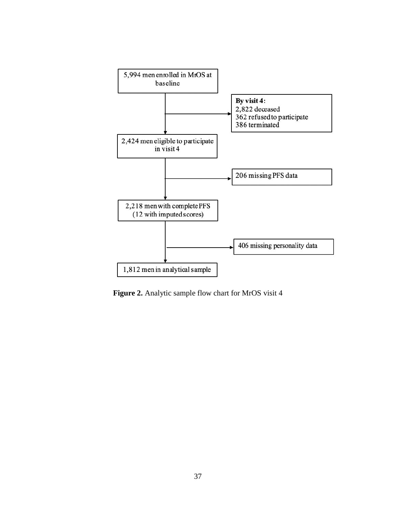

<span id="page-45-0"></span>Figure 2. Analytic sample flow chart for MrOS visit 4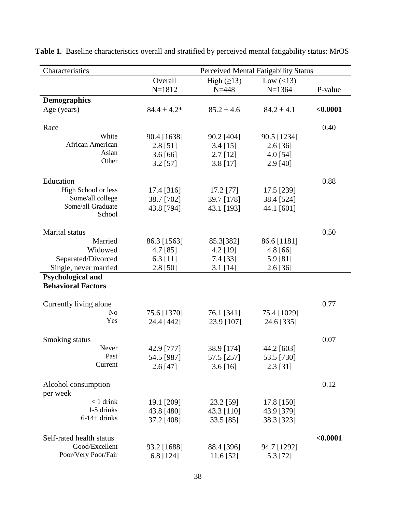| Characteristics           | Perceived Mental Fatigability Status |                  |                 |          |  |  |  |
|---------------------------|--------------------------------------|------------------|-----------------|----------|--|--|--|
|                           | Overall                              | High $(\geq 13)$ | Low $(\leq 13)$ |          |  |  |  |
|                           | $N = 1812$                           | $N = 448$        | $N = 1364$      | P-value  |  |  |  |
| <b>Demographics</b>       |                                      |                  |                 |          |  |  |  |
| Age (years)               | $84.4 \pm 4.2*$                      | $85.2 \pm 4.6$   | $84.2 \pm 4.1$  | < 0.0001 |  |  |  |
| Race                      |                                      |                  |                 | 0.40     |  |  |  |
| White                     | 90.4 [1638]                          | 90.2 [404]       | 90.5 [1234]     |          |  |  |  |
| African American          | $2.8$ [51]                           | $3.4$ [15]       | $2.6$ [36]      |          |  |  |  |
| Asian                     | 3.6[66]                              | $2.7$ [12]       | 4.0 [54]        |          |  |  |  |
| Other                     | $3.2$ [57]                           | $3.8$ [17]       | $2.9$ [40]      |          |  |  |  |
| Education                 |                                      |                  |                 | 0.88     |  |  |  |
| High School or less       | 17.4 [316]                           | 17.2 [77]        | 17.5 [239]      |          |  |  |  |
| Some/all college          | 38.7 [702]                           | 39.7 [178]       | 38.4 [524]      |          |  |  |  |
| Some/all Graduate         | 43.8 [794]                           | 43.1 [193]       | 44.1 [601]      |          |  |  |  |
| School                    |                                      |                  |                 |          |  |  |  |
| Marital status            |                                      |                  |                 | 0.50     |  |  |  |
| Married                   | 86.3 [1563]                          | 85.3[382]        | 86.6 [1181]     |          |  |  |  |
| Widowed                   | 4.7 [85]                             | $4.2$ [19]       | $4.8$ [66]      |          |  |  |  |
| Separated/Divorced        | $6.3$ [11]                           | 7.4 [33]         | 5.9 [81]        |          |  |  |  |
| Single, never married     | 2.8 [50]                             | $3.1$ [14]       | $2.6$ [36]      |          |  |  |  |
| Psychological and         |                                      |                  |                 |          |  |  |  |
| <b>Behavioral Factors</b> |                                      |                  |                 |          |  |  |  |
| Currently living alone    |                                      |                  |                 | 0.77     |  |  |  |
| N <sub>0</sub>            | 75.6 [1370]                          | 76.1 [341]       | 75.4 [1029]     |          |  |  |  |
| Yes                       | 24.4 [442]                           | 23.9 [107]       | 24.6 [335]      |          |  |  |  |
| Smoking status            |                                      |                  |                 | 0.07     |  |  |  |
| Never                     | 42.9 [777]                           | 38.9 [174]       | 44.2 [603]      |          |  |  |  |
| Past                      | 54.5 [987]                           | 57.5 [257]       | 53.5 [730]      |          |  |  |  |
| Current                   | $2.6$ [47]                           | 3.6[16]          | $2.3$ [31]      |          |  |  |  |
| Alcohol consumption       |                                      |                  |                 | 0.12     |  |  |  |
| per week                  |                                      |                  |                 |          |  |  |  |
| $< 1$ drink               | 19.1 [209]                           | 23.2 [59]        | 17.8 [150]      |          |  |  |  |
| 1-5 drinks                | 43.8 [480]                           | 43.3 [110]       | 43.9 [379]      |          |  |  |  |
| $6-14+drinks$             | 37.2 [408]                           | 33.5 [85]        | 38.3 [323]      |          |  |  |  |
| Self-rated health status  |                                      |                  |                 | < 0.0001 |  |  |  |
| Good/Excellent            | 93.2 [1688]                          | 88.4 [396]       | 94.7 [1292]     |          |  |  |  |
| Poor/Very Poor/Fair       | 6.8 [124]                            | $11.6$ [52]      | 5.3 [72]        |          |  |  |  |

<span id="page-46-0"></span>**Table 1.** Baseline characteristics overall and stratified by perceived mental fatigability status: MrOS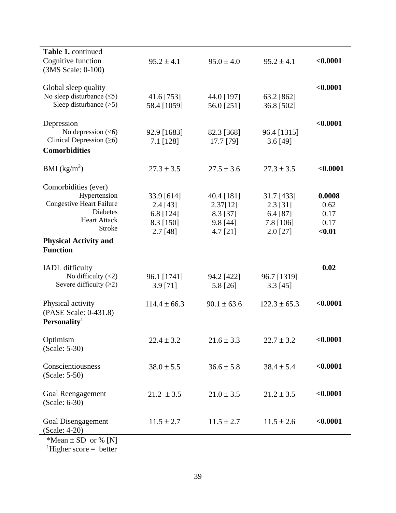| Table 1. continued                              |                  |                 |                  |          |
|-------------------------------------------------|------------------|-----------------|------------------|----------|
| Cognitive function                              | $95.2 \pm 4.1$   | $95.0 \pm 4.0$  | $95.2 \pm 4.1$   | < 0.0001 |
| (3MS Scale: 0-100)                              |                  |                 |                  |          |
|                                                 |                  |                 |                  |          |
| Global sleep quality                            |                  |                 |                  | < 0.0001 |
| No sleep disturbance $(\leq 5)$                 | 41.6 [753]       | 44.0 [197]      | 63.2 [862]       |          |
| Sleep disturbance $(>5)$                        | 58.4 [1059]      | 56.0 [251]      | 36.8 [502]       |          |
|                                                 |                  |                 |                  |          |
| Depression                                      |                  |                 |                  | < 0.0001 |
| No depression $(<$ 6)                           | 92.9 [1683]      | 82.3 [368]      | 96.4 [1315]      |          |
| Clinical Depression $(≥6)$                      | 7.1 [128]        | 17.7 [79]       | $3.6$ [49]       |          |
| <b>Comorbidities</b>                            |                  |                 |                  |          |
|                                                 |                  |                 |                  |          |
| BMI $(kg/m2)$                                   | $27.3 \pm 3.5$   | $27.5 \pm 3.6$  | $27.3 \pm 3.5$   | < 0.0001 |
|                                                 |                  |                 |                  |          |
| Comorbidities (ever)<br>Hypertension            |                  |                 |                  | 0.0008   |
| <b>Congestive Heart Failure</b>                 | 33.9 [614]       | 40.4 [181]      | 31.7 [433]       |          |
| <b>Diabetes</b>                                 | $2.4$ [43]       | 2.37[12]        | $2.3$ [31]       | 0.62     |
| <b>Heart Attack</b>                             | 6.8 [124]        | 8.3 [37]        | 6.4 [87]         | 0.17     |
| Stroke                                          | 8.3 [150]        | $9.8$ [44]      | 7.8 [106]        | 0.17     |
|                                                 | $2.7$ [48]       | $4.7$ [21]      | $2.0$ [27]       | $0.01$   |
| <b>Physical Activity and</b><br><b>Function</b> |                  |                 |                  |          |
|                                                 |                  |                 |                  |          |
| <b>IADL</b> difficulty                          |                  |                 |                  | 0.02     |
| No difficulty $(<2)$                            | 96.1 [1741]      | 94.2 [422]      | 96.7 [1319]      |          |
| Severe difficulty $(≥2)$                        | $3.9$ [71]       | 5.8 [26]        | $3.3$ [45]       |          |
|                                                 |                  |                 |                  |          |
| Physical activity                               | $114.4 \pm 66.3$ | $90.1 \pm 63.6$ | $122.3 \pm 65.3$ | < 0.0001 |
| (PASE Scale: 0-431.8)                           |                  |                 |                  |          |
| Personality <sup>1</sup>                        |                  |                 |                  |          |
|                                                 |                  |                 |                  |          |
| Optimism                                        | $22.4 \pm 3.2$   | $21.6 \pm 3.3$  | $22.7 \pm 3.2$   | < 0.0001 |
| (Scale: 5-30)                                   |                  |                 |                  |          |
|                                                 |                  |                 |                  |          |
| Conscientiousness                               | $38.0 \pm 5.5$   | $36.6 \pm 5.8$  | $38.4 \pm 5.4$   | < 0.0001 |
| (Scale: 5-50)                                   |                  |                 |                  |          |
|                                                 |                  |                 |                  |          |
| Goal Reengagement                               | $21.2 \pm 3.5$   | $21.0 \pm 3.5$  | $21.2 \pm 3.5$   | < 0.0001 |
| (Scale: 6-30)                                   |                  |                 |                  |          |
|                                                 |                  |                 |                  |          |
| Goal Disengagement                              | $11.5 \pm 2.7$   | $11.5 \pm 2.7$  | $11.5 \pm 2.6$   | < 0.0001 |
| (Scale: 4-20)                                   |                  |                 |                  |          |
| *Mean $\pm$ SD or % [N]                         |                  |                 |                  |          |
| $\frac{1}{1}$ Higher score – hetter             |                  |                 |                  |          |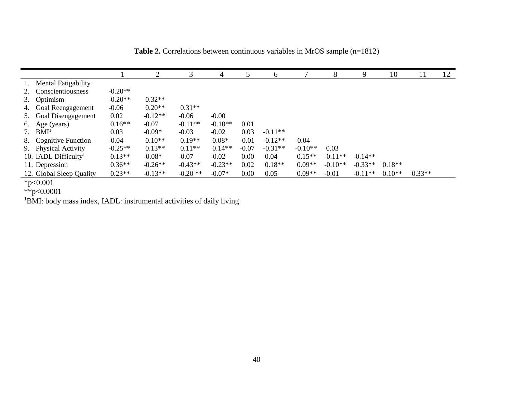|                                  |           | $\overline{2}$ | 3          | 4         |         | 6         |           | 8         | 9         | 10       | 11       | 12 |
|----------------------------------|-----------|----------------|------------|-----------|---------|-----------|-----------|-----------|-----------|----------|----------|----|
| <b>Mental Fatigability</b>       |           |                |            |           |         |           |           |           |           |          |          |    |
| Conscientiousness                | $-0.20**$ |                |            |           |         |           |           |           |           |          |          |    |
| Optimism<br>3.                   | $-0.20**$ | $0.32**$       |            |           |         |           |           |           |           |          |          |    |
| Goal Reengagement<br>4.          | $-0.06$   | $0.20**$       | $0.31**$   |           |         |           |           |           |           |          |          |    |
| Goal Disengagement<br>5.         | 0.02      | $-0.12**$      | $-0.06$    | $-0.00$   |         |           |           |           |           |          |          |    |
| Age (years)<br>6.                | $0.16**$  | $-0.07$        | $-0.11**$  | $-0.10**$ | 0.01    |           |           |           |           |          |          |    |
| BMI <sup>1</sup>                 | 0.03      | $-0.09*$       | $-0.03$    | $-0.02$   | 0.03    | $-0.11**$ |           |           |           |          |          |    |
| <b>Cognitive Function</b><br>8.  | $-0.04$   | $0.10**$       | $0.19**$   | $0.08*$   | $-0.01$ | $-0.12**$ | $-0.04$   |           |           |          |          |    |
| <b>Physical Activity</b><br>9.   | $-0.25**$ | $0.13**$       | $0.11**$   | $0.14**$  | $-0.07$ | $-0.31**$ | $-0.10**$ | 0.03      |           |          |          |    |
| 10. IADL Difficulty <sup>1</sup> | $0.13**$  | $-0.08*$       | $-0.07$    | $-0.02$   | 0.00    | 0.04      | $0.15**$  | $-0.11**$ | $-0.14**$ |          |          |    |
| 11. Depression                   | $0.36**$  | $-0.26**$      | $-0.43**$  | $-0.23**$ | 0.02    | $0.18**$  | $0.09**$  | $-0.10**$ | $-0.33**$ | $0.18**$ |          |    |
| 12. Global Sleep Quality         | $0.23**$  | $-0.13**$      | $-0.20$ ** | $-0.07*$  | 0.00    | 0.05      | $0.09**$  | $-0.01$   | $-0.11**$ | $0.10**$ | $0.33**$ |    |

**Table 2.** Correlations between continuous variables in MrOS sample (n=1812)

<span id="page-48-0"></span>\*p<0.001

\*\*p<0.0001

<sup>1</sup>BMI: body mass index, IADL: instrumental activities of daily living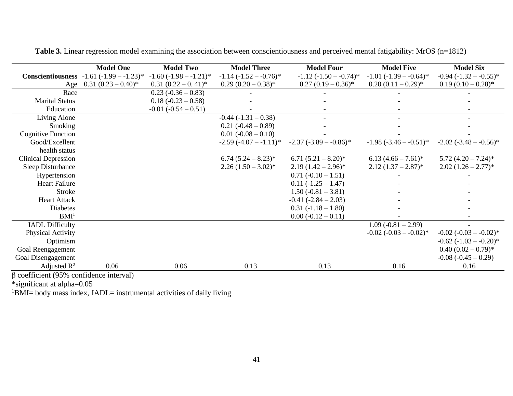<span id="page-49-0"></span>

|                            | <b>Model One</b>          | <b>Model Two</b>            | <b>Model Three</b>          | <b>Model Four</b>                      | <b>Model Five</b>                      | <b>Model Six</b>                       |
|----------------------------|---------------------------|-----------------------------|-----------------------------|----------------------------------------|----------------------------------------|----------------------------------------|
| <b>Conscientiousness</b>   | $-1.61(-1.99 - 1.23)^{*}$ | $-1.60$ $(-1.98 - -1.21)^*$ | $-1.14$ $(-1.52 - -0.76)^*$ | $-1.12$ $(-1.50 - -0.74)$ <sup>*</sup> | $-1.01$ $(-1.39 - -0.64)$ <sup>*</sup> | $-0.94$ $(-1.32 - -0.55)^*$            |
| Age                        | $0.31(0.23-0.40)^*$       | $0.31(0.22-0.41)^*$         | $0.29(0.20-0.38)$ *         | $0.27(0.19-0.36)$ *                    | $0.20(0.11-0.29)$ *                    | $0.19(0.10-0.28)$ *                    |
| Race                       |                           | $0.23(-0.36 - 0.83)$        |                             |                                        |                                        |                                        |
| <b>Marital Status</b>      |                           | $0.18(-0.23-0.58)$          |                             |                                        |                                        |                                        |
| Education                  |                           | $-0.01 (-0.54 - 0.51)$      |                             |                                        |                                        |                                        |
| Living Alone               |                           |                             | $-0.44$ $(-1.31 - 0.38)$    |                                        |                                        |                                        |
| Smoking                    |                           |                             | $0.21 (-0.48 - 0.89)$       |                                        |                                        |                                        |
| <b>Cognitive Function</b>  |                           |                             | $0.01 (-0.08 - 0.10)$       |                                        |                                        |                                        |
| Good/Excellent             |                           |                             | $-2.59(-4.07 - 1.11)^*$     | $-2.37(-3.89 - -0.86)^*$               | $-1.98(-3.46 - -0.51)^{*}$             | $-2.02$ ( $-3.48 - -0.56$ )*           |
| health status              |                           |                             |                             |                                        |                                        |                                        |
| <b>Clinical Depression</b> |                           |                             | $6.74(5.24-8.23)^{*}$       | $6.71(5.21-8.20)$ *                    | $6.13(4.66-7.61)^{*}$                  | $5.72(4.20 - 7.24)^*$                  |
| Sleep Disturbance          |                           |                             | $2.26(1.50-3.02)^{*}$       | $2.19(1.42-2.96)$ *                    | $2.12(1.37-2.87)^*$                    | $2.02(1.26-2.77)*$                     |
| Hypertension               |                           |                             |                             | $0.71(-0.10-1.51)$                     |                                        |                                        |
| <b>Heart Failure</b>       |                           |                             |                             | $0.11(-1.25-1.47)$                     |                                        |                                        |
| <b>Stroke</b>              |                           |                             |                             | $1.50(-0.81 - 3.81)$                   |                                        |                                        |
| <b>Heart Attack</b>        |                           |                             |                             | $-0.41 (-2.84 - 2.03)$                 |                                        |                                        |
| <b>Diabetes</b>            |                           |                             |                             | $0.31(-1.18-1.80)$                     |                                        |                                        |
| BMI <sup>1</sup>           |                           |                             |                             | $0.00 (-0.12 - 0.11)$                  |                                        |                                        |
| <b>IADL Difficulty</b>     |                           |                             |                             |                                        | $1.09(-0.81-2.99)$                     |                                        |
| Physical Activity          |                           |                             |                             |                                        | $-0.02$ $(-0.03 - 0.02)^*$             | $-0.02$ $(-0.03 - 0.02)^*$             |
| Optimism                   |                           |                             |                             |                                        |                                        | $-0.62$ $(-1.03 - -0.20)$ <sup>*</sup> |
| Goal Reengagement          |                           |                             |                             |                                        |                                        | $0.40(0.02-0.79)$ *                    |
| Goal Disengagement         |                           |                             |                             |                                        |                                        | $-0.08$ $(-0.45 - 0.29)$               |
| Adjusted $\mathbb{R}^2$    | 0.06                      | 0.06                        | 0.13                        | 0.13                                   | 0.16                                   | 0.16                                   |

**Table 3.** Linear regression model examining the association between conscientiousness and perceived mental fatigability: MrOS (n=1812)

β coefficient (95% confidence interval)

\*significant at alpha=0.05

<sup>1</sup>BMI= body mass index, IADL= instrumental activities of daily living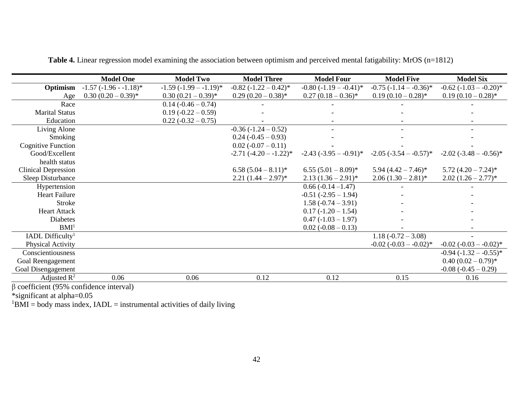<span id="page-50-0"></span>

|                                                                       | <b>Model One</b>        | <b>Model Two</b>         | <b>Model Three</b>         | <b>Model Four</b>           | <b>Model Five</b>           | <b>Model Six</b>             |
|-----------------------------------------------------------------------|-------------------------|--------------------------|----------------------------|-----------------------------|-----------------------------|------------------------------|
| Optimism                                                              | $-1.57(-1.96 - 1.18)$ * | $-1.59(-1.99 - -1.19)^*$ | $-0.82$ $(-1.22 - 0.42)^*$ | $-0.80$ $(-1.19 - -0.41)^*$ | $-0.75$ $(-1.14 - -0.36)^*$ | $-0.62$ ( $-1.03 - -0.20$ )* |
| Age                                                                   | $0.30(0.20-0.39)^*$     | $0.30(0.21-0.39)^*$      | $0.29(0.20-0.38)$ *        | $0.27(0.18-0.36)^*$         | $0.19(0.10-0.28)$ *         | $0.19(0.10-0.28)$ *          |
| Race                                                                  |                         | $0.14(-0.46-0.74)$       |                            |                             |                             |                              |
| <b>Marital Status</b>                                                 |                         | $0.19(-0.22 - 0.59)$     |                            |                             |                             |                              |
| Education                                                             |                         | $0.22(-0.32-0.75)$       |                            |                             |                             |                              |
| Living Alone                                                          |                         |                          | $-0.36(-1.24 - 0.52)$      |                             |                             |                              |
| Smoking                                                               |                         |                          | $0.24 (-0.45 - 0.93)$      |                             |                             |                              |
| <b>Cognitive Function</b>                                             |                         |                          | $0.02(-0.07-0.11)$         |                             |                             |                              |
| Good/Excellent                                                        |                         |                          | $-2.71(-4.20 - 1.22)^*$    | $-2.43$ $(-3.95 - -0.91)^*$ | $-2.05$ ( $-3.54 - 0.57$ )* | $-2.02$ ( $-3.48 - -0.56$ )* |
| health status                                                         |                         |                          |                            |                             |                             |                              |
| <b>Clinical Depression</b>                                            |                         |                          | $6.58(5.04-8.11)^*$        | $6.55(5.01-8.09)^{*}$       | $5.94 (4.42 - 7.46)^*$      | $5.72(4.20 - 7.24)^*$        |
| Sleep Disturbance                                                     |                         |                          | $2.21(1.44-2.97)$ *        | $2.13 (1.36 - 2.91)^*$      | $2.06(1.30-2.81)^{*}$       | $2.02(1.26-2.77)*$           |
| Hypertension                                                          |                         |                          |                            | $0.66(-0.14-1.47)$          |                             |                              |
| <b>Heart Failure</b>                                                  |                         |                          |                            | $-0.51$ $(-2.95 - 1.94)$    |                             |                              |
| <b>Stroke</b>                                                         |                         |                          |                            | $1.58(-0.74-3.91)$          |                             |                              |
| <b>Heart Attack</b>                                                   |                         |                          |                            | $0.17(-1.20-1.54)$          |                             |                              |
| Diabetes                                                              |                         |                          |                            | $0.47(-1.03-1.97)$          |                             |                              |
| BMI <sup>1</sup>                                                      |                         |                          |                            | $0.02 (-0.08 - 0.13)$       |                             |                              |
| IADL Difficulty <sup>1</sup>                                          |                         |                          |                            |                             | $1.18(-0.72 - 3.08)$        |                              |
| Physical Activity                                                     |                         |                          |                            |                             | $-0.02$ ( $-0.03 - 0.02$ )* | $-0.02$ $(-0.03 - -0.02)^*$  |
| Conscientiousness                                                     |                         |                          |                            |                             |                             | $-0.94$ $(-1.32 - -0.55)^*$  |
| Goal Reengagement                                                     |                         |                          |                            |                             |                             | $0.40(0.02-0.79)$ *          |
| Goal Disengagement                                                    |                         |                          |                            |                             |                             | $-0.08(-0.45-0.29)$          |
| Adjusted $\mathbb{R}^2$                                               | 0.06                    | 0.06                     | 0.12                       | 0.12                        | 0.15                        | 0.16                         |
| $\Omega$<br>$\cos f_{\text{scat}}(0.50)$ $\cos f_{\text{scat}}(0.00)$ |                         |                          |                            |                             |                             |                              |

**Table 4.** Linear regression model examining the association between optimism and perceived mental fatigability: MrOS (n=1812)

β coefficient (95% confidence interval)

\*significant at alpha=0.05

 ${}^{1}$ BMI = body mass index, IADL = instrumental activities of daily living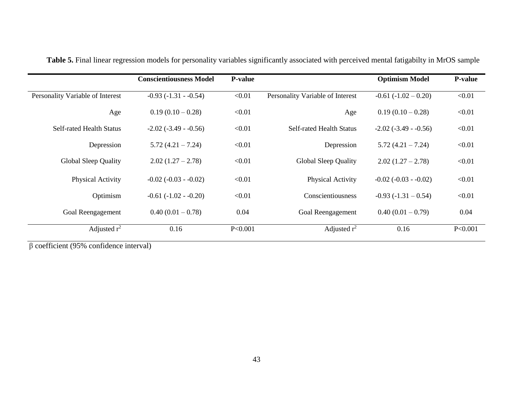|                                  | <b>Conscientiousness Model</b> | <b>P-value</b> |                                  | <b>Optimism Model</b>         | <b>P-value</b> |
|----------------------------------|--------------------------------|----------------|----------------------------------|-------------------------------|----------------|
| Personality Variable of Interest | $-0.93(-1.31 - 0.54)$          | < 0.01         | Personality Variable of Interest | $-0.61(-1.02-0.20)$           | < 0.01         |
| Age                              | $0.19(0.10-0.28)$              | < 0.01         | Age                              | $0.19(0.10-0.28)$             | < 0.01         |
| <b>Self-rated Health Status</b>  | $-2.02$ ( $-3.49$ - $-0.56$ )  | < 0.01         | <b>Self-rated Health Status</b>  | $-2.02$ ( $-3.49$ - $-0.56$ ) | < 0.01         |
| Depression                       | $5.72(4.21 - 7.24)$            | < 0.01         | Depression                       | $5.72(4.21 - 7.24)$           | < 0.01         |
| <b>Global Sleep Quality</b>      | $2.02(1.27-2.78)$              | < 0.01         | Global Sleep Quality             | $2.02(1.27-2.78)$             | < 0.01         |
| Physical Activity                | $-0.02$ ( $-0.03$ - $-0.02$ )  | < 0.01         | Physical Activity                | $-0.02$ ( $-0.03$ - $-0.02$ ) | < 0.01         |
| Optimism                         | $-0.61$ ( $-1.02$ - $-0.20$ )  | < 0.01         | Conscientiousness                | $-0.93(-1.31-0.54)$           | < 0.01         |
| Goal Reengagement                | $0.40(0.01-0.78)$              | 0.04           | Goal Reengagement                | $0.40(0.01-0.79)$             | 0.04           |
| Adjusted $r^2$                   | 0.16                           | P<0.001        | Adjusted $r^2$                   | 0.16                          | P<0.001        |

Table 5. Final linear regression models for personality variables significantly associated with perceived mental fatigabilty in MrOS sample

<span id="page-51-0"></span>β coefficient (95% confidence interval)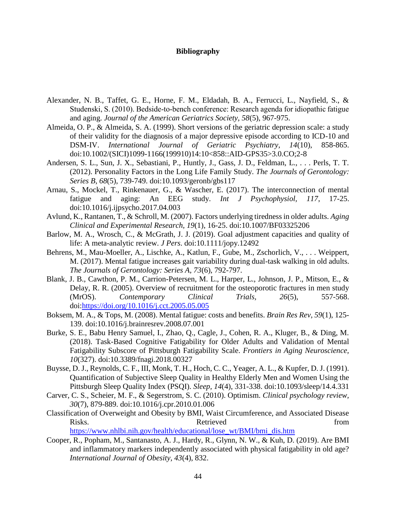### **Bibliography**

- <span id="page-52-1"></span><span id="page-52-0"></span>Alexander, N. B., Taffet, G. E., Horne, F. M., Eldadah, B. A., Ferrucci, L., Nayfield, S., & Studenski, S. (2010). Bedside‐to‐bench conference: Research agenda for idiopathic fatigue and aging. *Journal of the American Geriatrics Society, 58*(5), 967-975.
- <span id="page-52-10"></span>Almeida, O. P., & Almeida, S. A. (1999). Short versions of the geriatric depression scale: a study of their validity for the diagnosis of a major depressive episode according to ICD-10 and DSM-IV. *International Journal of Geriatric Psychiatry, 14*(10), 858-865. doi:10.1002/(SICI)1099-1166(199910)14:10<858::AID-GPS35>3.0.CO;2-8
- <span id="page-52-13"></span>Andersen, S. L., Sun, J. X., Sebastiani, P., Huntly, J., Gass, J. D., Feldman, L., . . . Perls, T. T. (2012). Personality Factors in the Long Life Family Study. *The Journals of Gerontology: Series B, 68*(5), 739-749. doi:10.1093/geronb/gbs117
- <span id="page-52-3"></span>Arnau, S., Mockel, T., Rinkenauer, G., & Wascher, E. (2017). The interconnection of mental fatigue and aging: An EEG study. *Int J Psychophysiol, 117*, 17-25. doi:10.1016/j.ijpsycho.2017.04.003
- <span id="page-52-7"></span>Avlund, K., Rantanen, T., & Schroll, M. (2007). Factors underlying tiredness in older adults. *Aging Clinical and Experimental Research, 19*(1), 16-25. doi:10.1007/BF03325206
- <span id="page-52-6"></span>Barlow, M. A., Wrosch, C., & McGrath, J. J. (2019). Goal adjustment capacities and quality of life: A meta-analytic review. *J Pers*. doi:10.1111/jopy.12492
- <span id="page-52-5"></span>Behrens, M., Mau-Moeller, A., Lischke, A., Katlun, F., Gube, M., Zschorlich, V., . . . Weippert, M. (2017). Mental fatigue increases gait variability during dual-task walking in old adults. *The Journals of Gerontology: Series A, 73*(6), 792-797.
- <span id="page-52-8"></span>Blank, J. B., Cawthon, P. M., Carrion-Petersen, M. L., Harper, L., Johnson, J. P., Mitson, E., & Delay, R. R. (2005). Overview of recruitment for the osteoporotic fractures in men study (MrOS). *Contemporary Clinical Trials, 26*(5), 557-568. doi[:https://doi.org/10.1016/j.cct.2005.05.005](https://doi.org/10.1016/j.cct.2005.05.005)
- <span id="page-52-2"></span>Boksem, M. A., & Tops, M. (2008). Mental fatigue: costs and benefits. *Brain Res Rev, 59*(1), 125- 139. doi:10.1016/j.brainresrev.2008.07.001
- <span id="page-52-4"></span>Burke, S. E., Babu Henry Samuel, I., Zhao, Q., Cagle, J., Cohen, R. A., Kluger, B., & Ding, M. (2018). Task-Based Cognitive Fatigability for Older Adults and Validation of Mental Fatigability Subscore of Pittsburgh Fatigability Scale. *Frontiers in Aging Neuroscience, 10*(327). doi:10.3389/fnagi.2018.00327
- <span id="page-52-11"></span>Buysse, D. J., Reynolds, C. F., III, Monk, T. H., Hoch, C. C., Yeager, A. L., & Kupfer, D. J. (1991). Quantification of Subjective Sleep Quality in Healthy Elderly Men and Women Using the Pittsburgh Sleep Quality Index (PSQI). *Sleep, 14*(4), 331-338. doi:10.1093/sleep/14.4.331
- <span id="page-52-14"></span>Carver, C. S., Scheier, M. F., & Segerstrom, S. C. (2010). Optimism. *Clinical psychology review, 30*(7), 879-889. doi:10.1016/j.cpr.2010.01.006
- <span id="page-52-12"></span>Classification of Overweight and Obesity by BMI, Waist Circumference, and Associated Disease Risks. The Retrieved contract and the Retrieved from  $\mathbb{R}$ [https://www.nhlbi.nih.gov/health/educational/lose\\_wt/BMI/bmi\\_dis.htm](https://www.nhlbi.nih.gov/health/educational/lose_wt/BMI/bmi_dis.htm)
- <span id="page-52-9"></span>Cooper, R., Popham, M., Santanasto, A. J., Hardy, R., Glynn, N. W., & Kuh, D. (2019). Are BMI and inflammatory markers independently associated with physical fatigability in old age? *International Journal of Obesity, 43*(4), 832.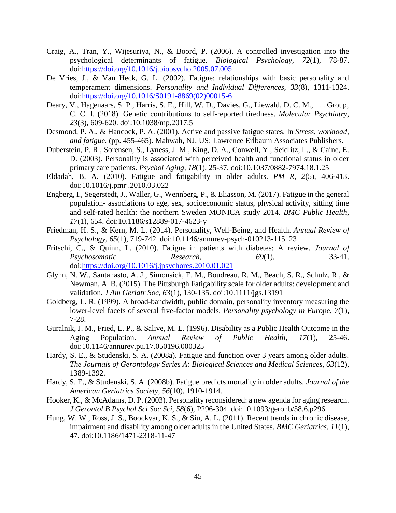- <span id="page-53-11"></span>Craig, A., Tran, Y., Wijesuriya, N., & Boord, P. (2006). A controlled investigation into the psychological determinants of fatigue. *Biological Psychology, 72*(1), 78-87. doi[:https://doi.org/10.1016/j.biopsycho.2005.07.005](https://doi.org/10.1016/j.biopsycho.2005.07.005)
- <span id="page-53-10"></span>De Vries, J., & Van Heck, G. L. (2002). Fatigue: relationships with basic personality and temperament dimensions. *Personality and Individual Differences, 33*(8), 1311-1324. doi[:https://doi.org/10.1016/S0191-8869\(02\)00015-6](https://doi.org/10.1016/S0191-8869(02)00015-6)
- <span id="page-53-2"></span>Deary, V., Hagenaars, S. P., Harris, S. E., Hill, W. D., Davies, G., Liewald, D. C. M., . . . Group, C. C. I. (2018). Genetic contributions to self-reported tiredness. *Molecular Psychiatry, 23*(3), 609-620. doi:10.1038/mp.2017.5
- <span id="page-53-7"></span>Desmond, P. A., & Hancock, P. A. (2001). Active and passive fatigue states. In *Stress, workload, and fatigue.* (pp. 455-465). Mahwah, NJ, US: Lawrence Erlbaum Associates Publishers.
- <span id="page-53-12"></span>Duberstein, P. R., Sorensen, S., Lyness, J. M., King, D. A., Conwell, Y., Seidlitz, L., & Caine, E. D. (2003). Personality is associated with perceived health and functional status in older primary care patients. *Psychol Aging, 18*(1), 25-37. doi:10.1037/0882-7974.18.1.25
- <span id="page-53-5"></span>Eldadah, B. A. (2010). Fatigue and fatigability in older adults. *PM R, 2*(5), 406-413. doi:10.1016/j.pmrj.2010.03.022
- <span id="page-53-8"></span>Engberg, I., Segerstedt, J., Waller, G., Wennberg, P., & Eliasson, M. (2017). Fatigue in the general population- associations to age, sex, socioeconomic status, physical activity, sitting time and self-rated health: the northern Sweden MONICA study 2014. *BMC Public Health, 17*(1), 654. doi:10.1186/s12889-017-4623-y
- <span id="page-53-13"></span>Friedman, H. S., & Kern, M. L. (2014). Personality, Well-Being, and Health. *Annual Review of Psychology, 65*(1), 719-742. doi:10.1146/annurev-psych-010213-115123
- <span id="page-53-14"></span>Fritschi, C., & Quinn, L. (2010). Fatigue in patients with diabetes: A review. *Journal of Psychosomatic Research, 69*(1), 33-41. doi[:https://doi.org/10.1016/j.jpsychores.2010.01.021](https://doi.org/10.1016/j.jpsychores.2010.01.021)
- <span id="page-53-6"></span>Glynn, N. W., Santanasto, A. J., Simonsick, E. M., Boudreau, R. M., Beach, S. R., Schulz, R., & Newman, A. B. (2015). The Pittsburgh Fatigability scale for older adults: development and validation. *J Am Geriatr Soc, 63*(1), 130-135. doi:10.1111/jgs.13191
- <span id="page-53-15"></span>Goldberg, L. R. (1999). A broad-bandwidth, public domain, personality inventory measuring the lower-level facets of several five-factor models. *Personality psychology in Europe, 7*(1), 7-28.
- <span id="page-53-0"></span>Guralnik, J. M., Fried, L. P., & Salive, M. E. (1996). Disability as a Public Health Outcome in the Aging Population. *Annual Review of Public Health, 17*(1), 25-46. doi:10.1146/annurev.pu.17.050196.000325
- <span id="page-53-3"></span>Hardy, S. E., & Studenski, S. A. (2008a). Fatigue and function over 3 years among older adults. *The Journals of Gerontology Series A: Biological Sciences and Medical Sciences, 63*(12), 1389-1392.
- <span id="page-53-4"></span>Hardy, S. E., & Studenski, S. A. (2008b). Fatigue predicts mortality in older adults. *Journal of the American Geriatrics Society, 56*(10), 1910-1914.
- <span id="page-53-9"></span>Hooker, K., & McAdams, D. P. (2003). Personality reconsidered: a new agenda for aging research. *J Gerontol B Psychol Sci Soc Sci, 58*(6), P296-304. doi:10.1093/geronb/58.6.p296
- <span id="page-53-1"></span>Hung, W. W., Ross, J. S., Boockvar, K. S., & Siu, A. L. (2011). Recent trends in chronic disease, impairment and disability among older adults in the United States. *BMC Geriatrics, 11*(1), 47. doi:10.1186/1471-2318-11-47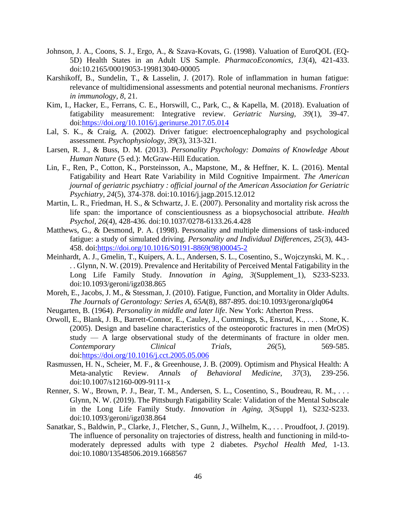- <span id="page-54-13"></span>Johnson, J. A., Coons, S. J., Ergo, A., & Szava-Kovats, G. (1998). Valuation of EuroQOL (EQ-5D) Health States in an Adult US Sample. *PharmacoEconomics, 13*(4), 421-433. doi:10.2165/00019053-199813040-00005
- <span id="page-54-4"></span>Karshikoff, B., Sundelin, T., & Lasselin, J. (2017). Role of inflammation in human fatigue: relevance of multidimensional assessments and potential neuronal mechanisms. *Frontiers in immunology, 8*, 21.
- <span id="page-54-1"></span>Kim, I., Hacker, E., Ferrans, C. E., Horswill, C., Park, C., & Kapella, M. (2018). Evaluation of fatigability measurement: Integrative review. *Geriatric Nursing, 39*(1), 39-47. doi[:https://doi.org/10.1016/j.gerinurse.2017.05.014](https://doi.org/10.1016/j.gerinurse.2017.05.014)
- <span id="page-54-10"></span>Lal, S. K., & Craig, A. (2002). Driver fatigue: electroencephalography and psychological assessment. *Psychophysiology, 39*(3), 313-321.
- <span id="page-54-6"></span>Larsen, R. J., & Buss, D. M. (2013). *Personality Psychology: Domains of Knowledge About Human Nature* (5 ed.): McGraw-Hill Education.
- <span id="page-54-2"></span>Lin, F., Ren, P., Cotton, K., Porsteinsson, A., Mapstone, M., & Heffner, K. L. (2016). Mental Fatigability and Heart Rate Variability in Mild Cognitive Impairment. *The American journal of geriatric psychiatry : official journal of the American Association for Geriatric Psychiatry, 24*(5), 374-378. doi:10.1016/j.jagp.2015.12.012
- <span id="page-54-8"></span>Martin, L. R., Friedman, H. S., & Schwartz, J. E. (2007). Personality and mortality risk across the life span: the importance of conscientiousness as a biopsychosocial attribute. *Health Psychol, 26*(4), 428-436. doi:10.1037/0278-6133.26.4.428
- <span id="page-54-9"></span>Matthews, G., & Desmond, P. A. (1998). Personality and multiple dimensions of task-induced fatigue: a study of simulated driving. *Personality and Individual Differences, 25*(3), 443- 458. doi[:https://doi.org/10.1016/S0191-8869\(98\)00045-2](https://doi.org/10.1016/S0191-8869(98)00045-2)
- <span id="page-54-14"></span>Meinhardt, A. J., Gmelin, T., Kuipers, A. L., Andersen, S. L., Cosentino, S., Wojczynski, M. K., . . . Glynn, N. W. (2019). Prevalence and Heritability of Perceived Mental Fatigability in the Long Life Family Study. *Innovation in Aging, 3*(Supplement\_1), S233-S233. doi:10.1093/geroni/igz038.865
- <span id="page-54-0"></span>Moreh, E., Jacobs, J. M., & Stessman, J. (2010). Fatigue, Function, and Mortality in Older Adults. *The Journals of Gerontology: Series A, 65A*(8), 887-895. doi:10.1093/gerona/glq064
- <span id="page-54-5"></span>Neugarten, B. (1964). *Personality in middle and later life*. New York: Atherton Press.
- <span id="page-54-12"></span>Orwoll, E., Blank, J. B., Barrett-Connor, E., Cauley, J., Cummings, S., Ensrud, K., . . . Stone, K. (2005). Design and baseline characteristics of the osteoporotic fractures in men (MrOS) study — A large observational study of the determinants of fracture in older men. *Contemporary Clinical Trials, 26*(5), 569-585. doi[:https://doi.org/10.1016/j.cct.2005.05.006](https://doi.org/10.1016/j.cct.2005.05.006)
- <span id="page-54-7"></span>Rasmussen, H. N., Scheier, M. F., & Greenhouse, J. B. (2009). Optimism and Physical Health: A Meta-analytic Review. *Annals of Behavioral Medicine, 37*(3), 239-256. doi:10.1007/s12160-009-9111-x
- <span id="page-54-3"></span>Renner, S. W., Brown, P. J., Bear, T. M., Andersen, S. L., Cosentino, S., Boudreau, R. M., . . . Glynn, N. W. (2019). The Pittsburgh Fatigability Scale: Validation of the Mental Subscale in the Long Life Family Study. *Innovation in Aging, 3*(Suppl 1), S232-S233. doi:10.1093/geroni/igz038.864
- <span id="page-54-11"></span>Sanatkar, S., Baldwin, P., Clarke, J., Fletcher, S., Gunn, J., Wilhelm, K., . . . Proudfoot, J. (2019). The influence of personality on trajectories of distress, health and functioning in mild-tomoderately depressed adults with type 2 diabetes. *Psychol Health Med*, 1-13. doi:10.1080/13548506.2019.1668567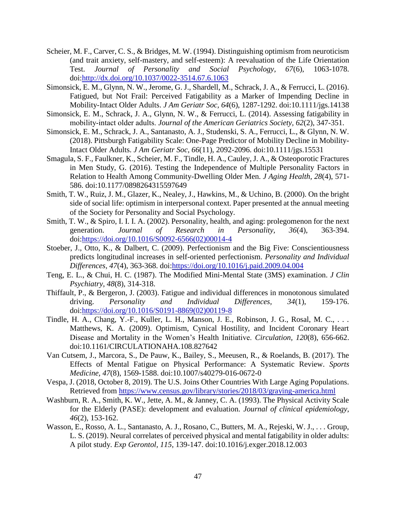- <span id="page-55-12"></span>Scheier, M. F., Carver, C. S., & Bridges, M. W. (1994). Distinguishing optimism from neuroticism (and trait anxiety, self-mastery, and self-esteem): A reevaluation of the Life Orientation Test. *Journal of Personality and Social Psychology, 67*(6), 1063-1078. doi[:http://dx.doi.org/10.1037/0022-3514.67.6.1063](http://dx.doi.org/10.1037/0022-3514.67.6.1063)
- <span id="page-55-1"></span>Simonsick, E. M., Glynn, N. W., Jerome, G. J., Shardell, M., Schrack, J. A., & Ferrucci, L. (2016). Fatigued, but Not Frail: Perceived Fatigability as a Marker of Impending Decline in Mobility-Intact Older Adults. *J Am Geriatr Soc, 64*(6), 1287-1292. doi:10.1111/jgs.14138
- <span id="page-55-2"></span>Simonsick, E. M., Schrack, J. A., Glynn, N. W., & Ferrucci, L. (2014). Assessing fatigability in mobility‐intact older adults. *Journal of the American Geriatrics Society, 62*(2), 347-351.
- <span id="page-55-5"></span>Simonsick, E. M., Schrack, J. A., Santanasto, A. J., Studenski, S. A., Ferrucci, L., & Glynn, N. W. (2018). Pittsburgh Fatigability Scale: One-Page Predictor of Mobility Decline in Mobility-Intact Older Adults. *J Am Geriatr Soc, 66*(11), 2092-2096. doi:10.1111/jgs.15531
- <span id="page-55-6"></span>Smagula, S. F., Faulkner, K., Scheier, M. F., Tindle, H. A., Cauley, J. A., & Osteoporotic Fractures in Men Study, G. (2016). Testing the Independence of Multiple Personality Factors in Relation to Health Among Community-Dwelling Older Men. *J Aging Health, 28*(4), 571- 586. doi:10.1177/0898264315597649
- <span id="page-55-7"></span>Smith, T. W., Ruiz, J. M., Glazer, K., Nealey, J., Hawkins, M., & Uchino, B. (2000). On the bright side of social life: optimism in interpersonal context. Paper presented at the annual meeting of the Society for Personality and Social Psychology.
- <span id="page-55-8"></span>Smith, T. W., & Spiro, I. I. I. A. (2002). Personality, health, and aging: prolegomenon for the next generation. *Journal of Research in Personality, 36*(4), 363-394. doi[:https://doi.org/10.1016/S0092-6566\(02\)00014-4](https://doi.org/10.1016/S0092-6566(02)00014-4)
- <span id="page-55-11"></span>Stoeber, J., Otto, K., & Dalbert, C. (2009). Perfectionism and the Big Five: Conscientiousness predicts longitudinal increases in self-oriented perfectionism. *Personality and Individual Differences, 47*(4), 363-368. doi[:https://doi.org/10.1016/j.paid.2009.04.004](https://doi.org/10.1016/j.paid.2009.04.004)
- <span id="page-55-13"></span>Teng, E. L., & Chui, H. C. (1987). The Modified Mini-Mental State (3MS) examination. *J Clin Psychiatry, 48*(8), 314-318.
- <span id="page-55-10"></span>Thiffault, P., & Bergeron, J. (2003). Fatigue and individual differences in monotonous simulated driving. *Personality and Individual Differences, 34*(1), 159-176. doi[:https://doi.org/10.1016/S0191-8869\(02\)00119-8](https://doi.org/10.1016/S0191-8869(02)00119-8)
- <span id="page-55-9"></span>Tindle, H. A., Chang, Y.-F., Kuller, L. H., Manson, J. E., Robinson, J. G., Rosal, M. C., . . . Matthews, K. A. (2009). Optimism, Cynical Hostility, and Incident Coronary Heart Disease and Mortality in the Women's Health Initiative. *Circulation, 120*(8), 656-662. doi:10.1161/CIRCULATIONAHA.108.827642
- <span id="page-55-4"></span>Van Cutsem, J., Marcora, S., De Pauw, K., Bailey, S., Meeusen, R., & Roelands, B. (2017). The Effects of Mental Fatigue on Physical Performance: A Systematic Review. *Sports Medicine, 47*(8), 1569-1588. doi:10.1007/s40279-016-0672-0
- <span id="page-55-0"></span>Vespa, J. (2018, October 8, 2019). The U.S. Joins Other Countries With Large Aging Populations. Retrieved from<https://www.census.gov/library/stories/2018/03/graying-america.html>
- <span id="page-55-14"></span>Washburn, R. A., Smith, K. W., Jette, A. M., & Janney, C. A. (1993). The Physical Activity Scale for the Elderly (PASE): development and evaluation. *Journal of clinical epidemiology, 46*(2), 153-162.
- <span id="page-55-3"></span>Wasson, E., Rosso, A. L., Santanasto, A. J., Rosano, C., Butters, M. A., Rejeski, W. J., . . . Group, L. S. (2019). Neural correlates of perceived physical and mental fatigability in older adults: A pilot study. *Exp Gerontol, 115*, 139-147. doi:10.1016/j.exger.2018.12.003